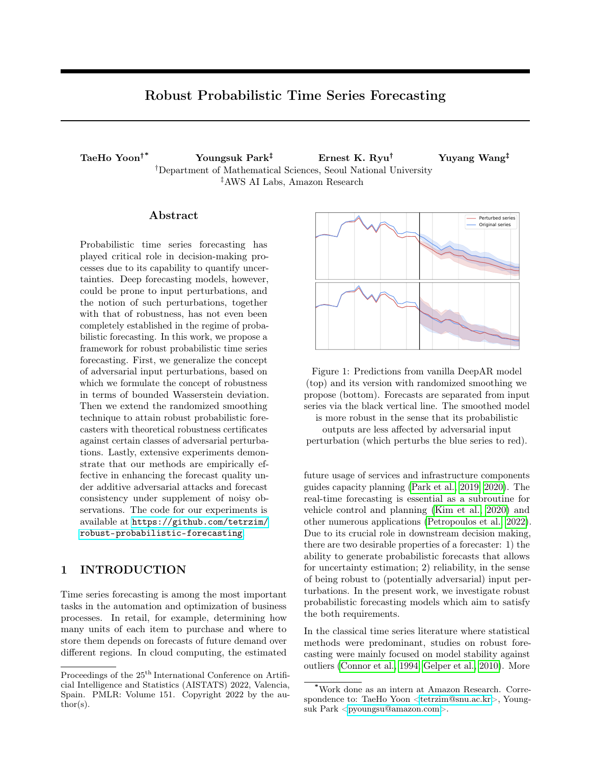# <span id="page-0-0"></span>Robust Probabilistic Time Series Forecasting

TaeHo Yoon†\* Youngsuk Park‡ Ernest K. Ryu† Yuyang Wang‡ †Department of Mathematical Sciences, Seoul National University ‡AWS AI Labs, Amazon Research

# Abstract

Probabilistic time series forecasting has played critical role in decision-making processes due to its capability to quantify uncertainties. Deep forecasting models, however, could be prone to input perturbations, and the notion of such perturbations, together with that of robustness, has not even been completely established in the regime of probabilistic forecasting. In this work, we propose a framework for robust probabilistic time series forecasting. First, we generalize the concept of adversarial input perturbations, based on which we formulate the concept of robustness in terms of bounded Wasserstein deviation. Then we extend the randomized smoothing technique to attain robust probabilistic forecasters with theoretical robustness certificates against certain classes of adversarial perturbations. Lastly, extensive experiments demonstrate that our methods are empirically effective in enhancing the forecast quality under additive adversarial attacks and forecast consistency under supplement of noisy observations. The code for our experiments is available at [https://github.com/tetrzim/](https://github.com/tetrzim/robust-probabilistic-forecasting) [robust-probabilistic-forecasting](https://github.com/tetrzim/robust-probabilistic-forecasting).

# 1 INTRODUCTION

Time series forecasting is among the most important tasks in the automation and optimization of business processes. In retail, for example, determining how many units of each item to purchase and where to store them depends on forecasts of future demand over different regions. In cloud computing, the estimated



Figure 1: Predictions from vanilla DeepAR model (top) and its version with randomized smoothing we propose (bottom). Forecasts are separated from input series via the black vertical line. The smoothed model is more robust in the sense that its probabilistic outputs are less affected by adversarial input

perturbation (which perturbs the blue series to red).

future usage of services and infrastructure components guides capacity planning [\(Park et al., 2019,](#page-11-0) [2020\)](#page-11-1). The real-time forecasting is essential as a subroutine for vehicle control and planning [\(Kim et al., 2020\)](#page-10-0) and other numerous applications [\(Petropoulos et al., 2022\)](#page-11-2). Due to its crucial role in downstream decision making, there are two desirable properties of a forecaster: 1) the ability to generate probabilistic forecasts that allows for uncertainty estimation; 2) reliability, in the sense of being robust to (potentially adversarial) input perturbations. In the present work, we investigate robust probabilistic forecasting models which aim to satisfy the both requirements.

In the classical time series literature where statistical methods were predominant, studies on robust forecasting were mainly focused on model stability against outliers [\(Connor et al., 1994;](#page-9-0) [Gelper et al., 2010\)](#page-10-1). More

Proceedings of the  $25^{\text{th}}$  International Conference on Artificial Intelligence and Statistics (AISTATS) 2022, Valencia, Spain. PMLR: Volume 151. Copyright 2022 by the author(s).

<sup>\*</sup>Work done as an intern at Amazon Research. Corre-spondence to: TaeHo Yoon [<tetrzim@snu.ac.kr>](mailto:tetrzim@snu.ac.kr), Young-suk Park [<pyoungsu@amazon.com>](mailto:pyoungsu@amazon.com).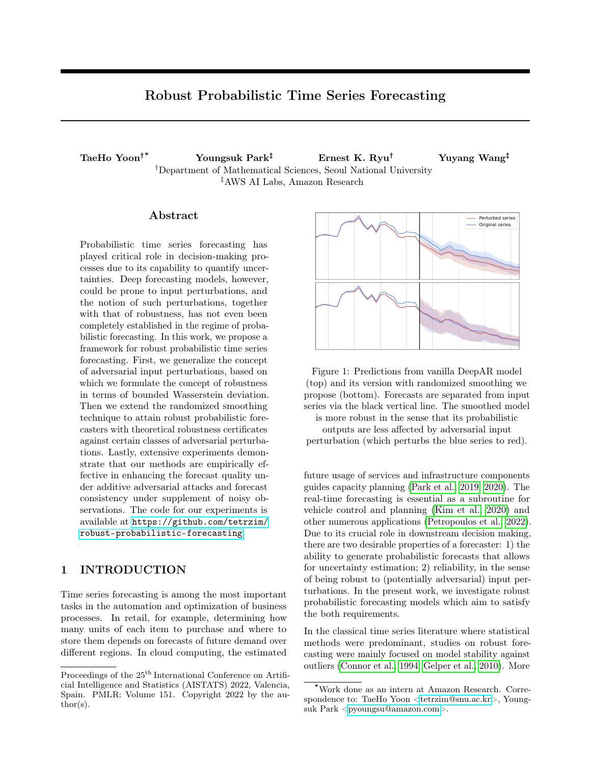recently, deep learning models increasingly gained popularity and has gradually become the main workhorse of scalable forecasting [\(Li et al., 2019b;](#page-10-2) [Oreshkin et al.,](#page-10-3) [2019;](#page-10-3) [Sen et al., 2019;](#page-11-3) [Fan et al., 2019;](#page-10-4) [Chen et al., 2020;](#page-9-1) [Arik et al., 2020;](#page-9-2) [Zhou et al., 2021\)](#page-12-0). A distinct concept of adversarial robustness has emerged as an issue because deep neural networks are notoriously prone to small adversarial input perturbations [\(Szegedy et al.,](#page-11-4) [2013;](#page-11-4) [Goodfellow et al., 2015\)](#page-10-5). Particularly in the context of forecasting, in [Dang-Nhu et al.](#page-9-3) [\(2020\)](#page-9-3), the authors showed that deep autoregressive time series forecasting models with probabilistic outputs could suffer from such attacks.

Despite its importance, to the best of our knowledge, there is no prior work which has developed the formal concept of adversarial robustness for probabilistic forecasting models. This leaves the forecasters under the threat of adversarial attacks, endangering the decision making of mission-critical tasks. Furthermore, the time series data possess a unique characteristic (i.e. the time dimension), which allows for robustness notions that are fundamentally different from  $l_p$ -adversarial robustness, e.g., forecasts' stability under temporal window shift (translation) or the presence of statistical outliers. Therefore, it is necessary to establish a notion of robustness for probabilistic time series forecasting models that is general enough to encompass diverse classes of input changes and the corresponding practical requirements.

Contributions. In this paper, we develop a framework of robust probabilistic time series forecasting, handling both theory and practice. To this aim, we first generalize the concept of adversarial perturbations in terms of abstract input and output transformations and provide a formal mathematical notion of robustness in terms of distributional stability of outputs when inputs are perturbed. With these foundations established, we propose randomized smoothing for probabilistic forecasters, which enjoys theoretical robustness guarantees for distinct classes of input perturbations and potentially improves a baseline model's robustness without requiring separate learning procedures. To establish even more pragmatic robust methods, we combine the smoothing techniques with randomized training, i.e., augmentation of training data with random noises, which is generally known to be effective in generating robust base learners. Finally, we empirically verify that the randomizing procedures are indeed effective in rendering robust probabilistic forecasting models through extensive experiments on multiple real datasets.

### 1.1 Related Work

Classically robust forecasting via statistical methods. Earlier ideas on robust forecasting have mostly focused on adapting the classical techniques to deal with outliers, missing data, or change points. A plethora of works have been developed in multiple directions, including robust versions of exponential and Holt–Winters smoothing [\(Cipra, 1992;](#page-9-4) [Cipra et al.,](#page-9-5) [1995;](#page-9-5) [Gelper et al., 2010\)](#page-10-1), outlier-robust Kalman filters [\(Cipra and Romera, 1997;](#page-9-6) [Ting et al., 2007;](#page-12-1) [Aga](#page-9-7)[mennoni et al., 2011;](#page-9-7) [Chang, 2014\)](#page-9-8), and statistical frameworks based on detection or filtering of anomalies [\(Connor et al., 1994;](#page-9-0) [Garnett et al., 2009;](#page-10-6) [Ristanoski](#page-11-5) [et al., 2013;](#page-11-5) [Anava et al., 2015;](#page-9-9) [Guo et al., 2016\)](#page-10-7).

Deep learning for time series forecasting. Neural network has been applied to time series forecasting for more than half a century, and the earliest work dates back to 1960s [\(Hu and Root, 1964\)](#page-10-8). Despite the early start, neural networks found little success in the time series forecasting literature until recently. With the explosive production of time series data and advances in neural architectures, deep learning has become increasingly popular. The strong performance of the deep forecasting models is especially prominent in the fields where a large collection of time series is available, such as demand forecasting in large retailers. Among the deep forecasting models, more relevant to the present work are the approaches that generate probabilistic forecasts. This is typically achieved by two avenues. The first approach, including [Salinas et al.](#page-11-6) [\(2020,](#page-11-6) [2019\)](#page-11-7); [de Bézenac et al.](#page-9-10) [\(2020\)](#page-9-10); [Rangapuram et al.](#page-11-8) [\(2018\)](#page-11-8); [Wang et al.](#page-12-2) [\(2019\)](#page-12-2), uses neural networks as backbone sequential model and the last layer is customized via a likelihood function. An alternative approach directly generates the desired quantile forecasts; see for example [Wen et al.](#page-12-3) [\(2017\)](#page-12-3); [Lim et al.](#page-10-9) [\(2021\)](#page-10-9); [Park et al.](#page-11-9) [\(2021\)](#page-11-9); [Eisenach et al.](#page-9-11) [\(2022\)](#page-9-11). Other classes of works include variance reduced training [\(Lu et al., 2021\)](#page-10-10) or domain adaptaton based techniques [\(Jin et al., 2022\)](#page-10-11). For comprehensive study of deep forecasting models, we refer interested readers to [Benidis et al.](#page-9-12) [\(2020\)](#page-9-12); [Hewamalage et al.](#page-10-12) [\(2021\)](#page-10-12); [Alexandrov et al.](#page-9-13) [\(2020\)](#page-9-13).

Adversarial attacks and time series. The seminal work of [Szegedy et al.](#page-11-4) [\(2013\)](#page-11-4) demonstrated that image classification models based on deep neural networks, in spite of their high test accuracy, tend to be susceptible to hardly human-perceptible changes, which cause them to completely misclassify the inputs. This inspired a number of works to further study effective attack schemes [\(Goodfellow et al., 2015;](#page-10-5) [Madry et al.,](#page-10-13) [2018;](#page-10-13) [Papernot et al., 2017;](#page-11-10) [Athalye et al., 2018\)](#page-9-14). In the time series domain, earlier works [\(Fawaz et al.,](#page-10-14) [2019;](#page-10-14) [Karim et al., 2021\)](#page-10-15) mainly focused on attacking time series classification models, and attack against probabilistic forecasting models was first devised by [Dang-Nhu et al.](#page-9-3) [\(2020\)](#page-9-3) using reparametrization tricks.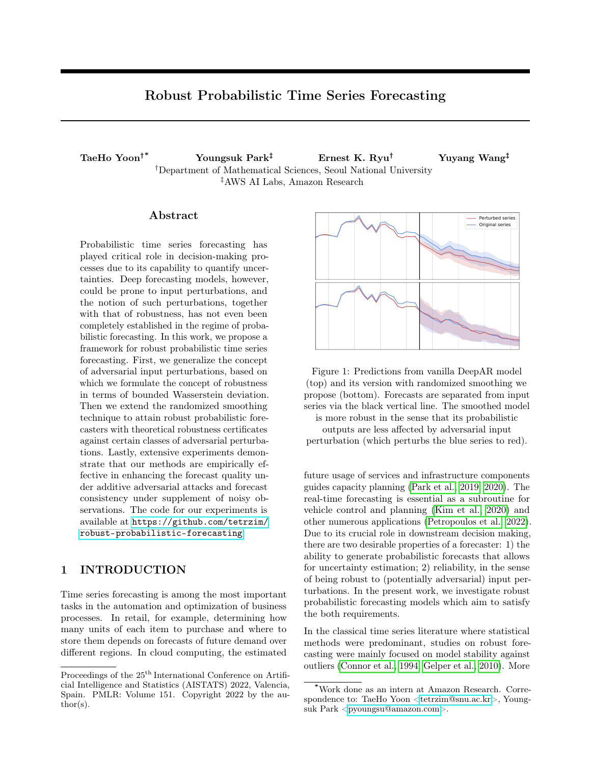Certified adversarial defenses. While the adversarial training [\(Kurakin et al., 2017;](#page-10-16) [Madry et al., 2018\)](#page-10-13) has been arguably the most successful defense scheme against adversarial attacks on the empirical side, its theoretical performance guarantee over perturbed data has not been established. Towards developing defense scheme with certificates, a series of works [\(Dvijotham](#page-9-15) [et al., 2018;](#page-9-15) [Wong and Kolter, 2018;](#page-12-4) [Wong et al., 2018;](#page-12-5) [Raghunathan et al., 2018b,](#page-11-11)[a;](#page-11-12) [Gowal et al., 2018\)](#page-10-17) suggested to directly control the local Lipschitz constant of feedforward neural networks, but such approaches were constrained to moderate-sized models. Another line of works [\(Lecuyer et al., 2019;](#page-10-18) [Cohen et al., 2019;](#page-9-16) [Salman et al., 2019;](#page-11-13) [Li et al., 2019a\)](#page-10-19) studied randomized smoothing as a more scalable and model-agnostic approach, and successfully provided practical accuracy guarantees on classification problems up to the ImageNet scale under adversarial perturbations. Randomized smoothing have also had applications in regression problems in the context of certifiably robust object detection [\(Chiang et al., 2020\)](#page-9-17). However, we are not aware of any prior works along this direction which have considered adversarial defenses for models with probabilistic outputs, which is the standard framework for time series forecasting.

Exposure bias and translation robustness. An autoregressive (or conditional) sequence generation model may behave significantly differently in training and inference stages because in the test time, it generates outputs based on its own previous outputs, whose distribution may deviate from the ground-truth and the resulting error can be propagated [\(Bengio et al.,](#page-9-18) [2015;](#page-9-18) [Bowman et al., 2016;](#page-9-19) [Ranzato et al., 2016\)](#page-11-14). This phenomenon, often referred to as exposure bias, has been studied and empirically addressed by a number of prior works on language models [\(Norouzi et al., 2016;](#page-10-20) [Schmidt, 2019\)](#page-11-15) and more recently on time series forecasting [\(Sangiorgio and Dercole, 2020\)](#page-11-16). These works are partially related to our translation robustness framework where we control propagation of errors caused by appending noisy or adversarial observations, but our approach is fundamentally distinct in that we focus on worst-case perturbations (rather than regarding the data distributions) and theoretically guaranteed solutions (rather than empirical remedies).

### 2 PRELIMINARIES

#### 2.1 Probabilistic Time Series Forecasting

Suppose we are given a dataset of  $N$  time series, where the *i*-th time series consist of observation  $x_{i,t}$  **P** R with (optional) input covariates  $z_{i,t}$  **P**  $\mathbb{R}^d$  at time t. We drop the time series index whenever the context is clear. Examples of the input covariates include price and promotion at a certain time with the observations being the sales. For each time series, we observe  $T$  past targets  $x = x_{1:T} P X$  $\mathbf{g}$  series, we observe T past<br> $\mathbf{g}$   $\mathbf{g}$   $\mathbf{R}$  and all covariates  $z_{1:T}$   $\tau$  **P**  $Z$  to predict  $\tau$  future targets  $x_{T-1:T}$   $\tau$  **P**  $\gamma$  R<sup> $\tau$ </sup>. We denote a global<sup>1</sup> probabilistic forecaster  $Y$  –  $R^{\tau}$  . We denote a global<sup>[1](#page-0-0)</sup> probabilistic forecaster  $f: X \text{ Z } \tilde{\mathbf{N}}$  PpYq where PpYq denotes the probability distribution on the prediction space Y. With a slight abuse of notation, we describe the forecaster as

$$
\mathbf{p}Y_1,\ldots,Y_{\tau}\mathbf{q} \quad f\mathbf{p}x_1,\ldots,x_T,z_1\ldots,z_{T-\tau}\mathbf{q},
$$

where  $\mathbf{p}Y_1, \ldots, Y_\tau \mathbf{q}$  are random variables associated with future targets  $\mathbf{p}_{x_T}$ , ...,  $x_T$ ,  $\tau \mathbf{q}$  and their full distributions are specified in terms of quantiles [\(Wen et al.,](#page-12-3) [2017;](#page-12-3) [Park et al., 2021\)](#page-11-9) or parametric forms [\(Salinas](#page-11-6) [et al., 2020\)](#page-11-6), e.g., Gaussian, Student's t, or negative binomial. For notational simplicity, we omit the covariates  $z_{1:T-\tau}$  and concisely write

<span id="page-2-0"></span>
$$
\mathbf{Y} \quad \mathbf{p} Y_1, \dots, Y_\tau \mathbf{q} \quad f \mathbf{p} x \mathbf{q}. \tag{1}
$$

We respectively denote as  $x_{T-1}, \ldots, x_{T-\tau}$  the groundtruth future targets and  $y$   $\mathbf{p}y_1, \ldots, y_\tau \mathbf{q}$  $\mathbf{p}\hat{x}_{T-1}, \ldots, \hat{x}_{T-\tau}\mathbf{q}$  the sampled prediction (or realization) of future targets from probabilistic forecaster f. Since probabilistic forecast  $f$ **p**x**q** essentially carries distributional information, we abuse notation to allow sampling from it:  $\mathbf{p} \hat{x}_{T}$  1, . . . ,  $\hat{x}_{T}$   $_{\tau}$ **q** *f*  $\mathbf{p} \cdot \mathbf{z}$ **q**.

## <span id="page-2-2"></span>2.2 Adversarial Attacks on Probabilistic Autoregressive Forecasting Models

In the probabilistic forecasting setting, the adversarial perturbation (or attack)  $\delta$  on the input x with given adversarial target values  $t_{adv}$  **P**  $\mathbb{R}^m$  and a statistic<sup>[2](#page-0-0)</sup>  $\chi : \mathsf{R}^\tau \, \widetilde{\mathsf{N}} \, \mathsf{R}^m$  can be found by minimizing

<span id="page-2-1"></span>
$$
\underset{\mathbf{3}}{\text{argmin}} \quad \mathsf{E}_{f\mathbf{p}\mathsf{y}|\mathsf{x}} \quad \mathbf{q} \mathbf{r} \mathsf{x} \mathbf{p} Y_1, \dots, Y_{\tau} \mathbf{q} \mathbf{s} \quad \mathbf{t}_{\text{adv}} \quad \frac{2}{2} \qquad (2)
$$

where  $\eta \times 0$  is the attack threshold, and the norm }δ} is chosen depending on the context. The expectation  $E_{f\mathbf{p}y|x}$  q is taken over the randomness in  $\mathbf{p}Y_1,\ldots,Y_{\tau}\mathbf{q}$  f**p**x  $\delta\mathbf{q}$ , the output of the probabilis-tic forecaster [\(1\)](#page-2-0) on the input  $x \delta$ . The target value  $t_{\text{adv}}$  is chosen to be significantly different from  $E_{f\mathbf{p}y|x\mathbf{q}|\mathbf{r}}\chi\mathbf{p}Y_1,\ldots,Y_{\tau}\mathbf{q}\mathbf{s}$ . For the case of stock price predictions, the choice of  $\chi$  may be varied to express financial quantities such as buy- or sell-option prices; see [Dang-Nhu et al.](#page-9-3) [\(2020\)](#page-9-3) for details.

For practical experiments, we focus on attacking subsets of prediction outputs. In other words, we consider

<sup>&</sup>lt;sup>1</sup>Forecast models are the same across all  $N$  time series. <sup>2</sup>[Dang-Nhu et al.](#page-9-3) [\(2020\)](#page-9-3) limits  $\chi$  and  $t_{\text{adv}}$  to scalar ones  $(m \ 1).$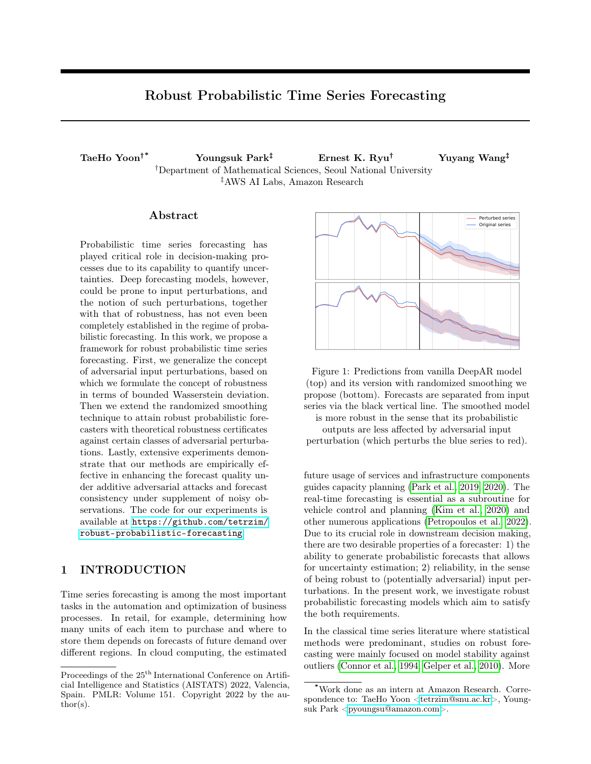statistics of the form

$$
\chi_H \mathbf{p} Y_1, \dots, Y_\tau \mathbf{q} \quad \mathbf{p} Y_{h_1}, \dots, Y_{h_m} \mathbf{q} \tag{3}
$$

in  $(2)$ , where H is a subset of prediction indices with size m, i.e.,  $H: \mathbf{t} h_1, \ldots, h_m \mathbf{u} \in \mathbf{t} 1, \ldots, \tau \mathbf{u}$ . In this case, the adversary searches for a minimal norm perturbation  $x^1$   $x$   $\delta$  for which the subset of perturbed forecasts is significantly different from the original forecasts at corresponding indices, and potentially from the ground-truth values as well.

Constrained optimization [\(2\)](#page-2-1) can be relaxed into a regularized optimization problem as follows:

$$
\min L \mathbf{p} \delta \mathbf{q} : \mathbf{y} \delta \mathbf{y}^2 \quad \lambda \quad \mathsf{E}_{f \mathbf{p} \mathbf{y} | \mathbf{x} = \mathbf{q} \mathbf{r} Y_H \mathbf{s} \quad t_{\text{adv}} \quad \frac{2}{2} \quad (4)
$$

where  $\lambda$  **;** 0 is a hyperparameter. The derivative of the relaxed objective [\(4\)](#page-3-0) with respect to  $\delta$  could be computed via the reparametrization trick<sup>[3](#page-0-0)</sup> as in [Dang-Nhu et al.](#page-9-3) [\(2020\)](#page-9-3), which allows us to solve the regularized problem using any first-order optimizer.

# 3 DEFINING ROBUSTNESS FOR PROBABILISTIC TIME SERIES FORECASTING

The adversarial attack in time series forecasting has been proposed only in terms of additive input perturbation with respect to  $l_p$  norm as in [\(2\)](#page-2-1). However, the unique properties of time series data including the existence of time dimension, periodicity, or seasonality potentially allow for a number of distinct types of perturbation. In this section, we generalize the notion of adversarial input perturbations in probabilistic forecasting, in order to incorporate distinct classes of input changes. Then we define the corresponding notion of robustness which properly quantifies model sensitivity to those input perturbations.

### 3.1 Generalized Input Perturbations in Time Series Forecasting

We consider abstract input perturbation  $T_X: X \times \tilde{N}$ X and output transformation  $T_Y$ : Y  $\tilde{\mathbf{N}}$  Y. Given a probabilistic forecaster f and an input  $x \in \mathbb{P}$  X, we describe the forecast output from  $f$  on  $x$  under the input perturbation  $T_X$  as  $f \mathbf{p} T_X \mathbf{p} x \mathbf{q}$ , and the original forecast output with the output transformation  $T_Y$ applied as  $pT \vee q_{\#} f p x q$ . Ultimately, we want to have

$$
f \quad T_X \quad T_Y \quad f \tag{5}
$$

in probabilistic sense, toward achieving robust forecasters. Before formally providing the detailed concept of robustness (in Section [3.2\)](#page-4-0), we first walk through two example classes of perturbations: additive adversarial attack and time shift with new noisy observations, and demonstrate how the transformations  $T_X$  and  $T_Y$  can be specified.

#### <span id="page-3-2"></span>3.1.1 Additive Adversarial Perturbation

Consider the additive advsersarial perturbation which deceives the forecaster to deviate from its original forecasts on the subset  $H$  of prediction indices. We model the corresponding  $T_X$  as

<span id="page-3-4"></span>
$$
T_{\times} \mathbf{p} x \mathbf{q} \quad x \quad \delta \ \mathbf{p} x \mathbf{q}, \tag{6}
$$

<span id="page-3-0"></span>where

$$
\delta \text{ p } x \text{ q} \quad \text{argmax} \ \mathsf{E}_{f \text{ p } y | x} \quad \mathsf{q} \mathbf{r} \mathbf{Y}_{H} \mathbf{s} \quad \mathsf{E}_{f \text{ p } y | x \text{ q}} \mathsf{r} \mathbf{Y}_{H} \mathbf{s}^{2} \,. \tag{7}
$$

Simply taking the output transformation as the identity map, i.e.,  $T_Y$  Id, the requirement  $f \, T_X \, T_Y \, f$ reduces to

### $f$ p $x$   $\delta$  p $x$ qq  $f$ p $x$ q.

That is, we want our forecaster to be insensitive to adversarially constructed additive noise. If  $f$  is both robust in this sense and also has good prediction performance over the clean (unattacked) test dataset, its forecast quality will be retained even when it is given with adversarially perturbed time series data.

### <span id="page-3-3"></span>3.1.2 Time Shift with New Noisy **Observations**

Consider the scenario where one initially has an input series  $x \in \mathbf{p}_{x_1}, \ldots, x_T \mathbf{q}$ , and later a set of  $k \in \tau$  new observations  $\mathbf{t} x_{T-1}, \ldots, x_{T-k} \mathbf{u}$  arrives and the entire prediction task is shifted by  $k$  time steps. Suppose that we want the initial forecasts

$$
f\mathbf{p}x\mathbf{q} \quad \mathbf{p}Y_1, Y_2, \dots, Y_{k-1}, Y_{k-2}, \dots \mathbf{q}
$$

to be consistent with the forecasts

 $f$ p $\bm{x};$   $x_T$   $_1, \ldots, x_T$   $_k$ q p $Y^{\bm{1}}_k$   $_1, Y^{\bm{1}}_k$   $_2, \ldots$ q

produced after given the new observations. In this case, we let  $T_X$ **pxq px**;  $x_T$  1, ...,  $x_T$   $\underset{k}{\bullet}$  be the augmentation by new observations, and

$$
T_{\gamma} \mathbf{p} y_1, y_2, \ldots, y_{k-1}, y_{k-2}, \ldots \mathbf{q} \quad \mathbf{p} y_{k-1}, y_{k-2}, \ldots \mathbf{q}
$$

<span id="page-3-1"></span>be the left translation operator by  $k$  time steps. Then  $f T_X \tT_Y$  f requires that

$$
Y_{k-1}
$$
  $Y_{k-1}^1, Y_{k-2}$   $Y_{k-2}^1, \ldots,$ 

<sup>&</sup>lt;sup>3</sup>The forecaster should support sampling from a distribution with location and/or scale parameters, which is the case for autoregressive forecasting models.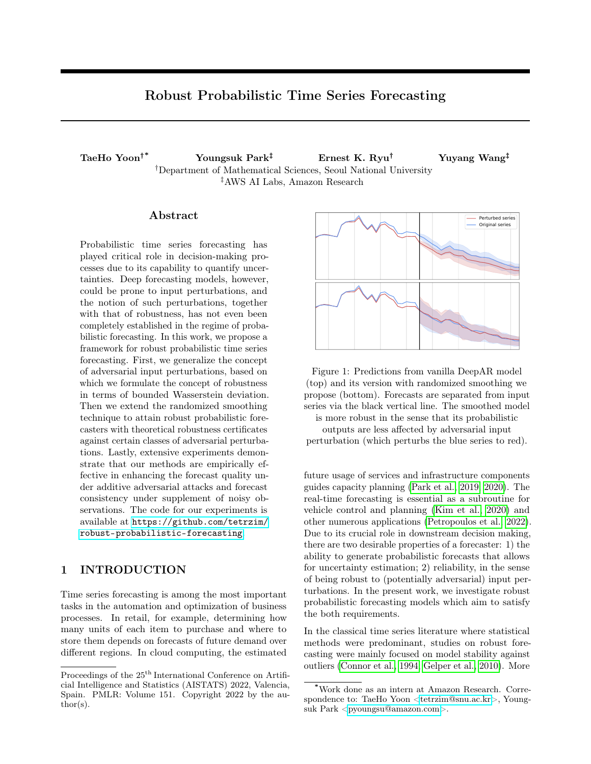i.e., the two sets of forecasts should be consistent.

Note that x's are inherited in  $T<sub>X</sub>$ , and when some of  $x$ 's are highly anomalous or have been manipulated by an adversary,  $T_X$  may largely impact the original forecasts. In our experiments, we consider the specific case of appending a single adversarial observation

$$
x_{T-1}: \quad \mathbf{p1} \quad \rho \mathbf{q} x_{T-1}, \tag{8}
$$

which is (de-)amplified relative to the ground truth according to the adversarial parameter  $\rho$  **;** 1.

#### <span id="page-4-0"></span>3.2 Formal Mathematical Definition of Robustness

Given a probabilistic forecaster  $f$  and a transformation pair  $T_X, T_Y$  suitable for time series setting, both  $f$ p $T$ <sub> $\times$ </sub> pxqq and p $T$ <sub> $\times$ </sub>q<sub>#</sub>  $f$  pxq are random variables in  $R^\tau$ whose distributions are specified. Let us denote, for each prediction time point  $t = 1, \ldots, \tau$ , the associated marginal distributions by  $\mu_t$  and  $\mu_t^{\bullet}$  respectively, i.e., pfp $T_\times$ p $x$ qqq $_t$   $\quad \mu_t$  and pp $T_\times$ q $_\#$  fp $x$ qq $_t$   $\quad \mu^1_t$ . We aim to formally quantify the informal notion [\(5\)](#page-3-1) in terms of certain metric between these distributions.

As a final ingredient for establishing the precise definition, we define  $d\mathbf{p}x$ ;  $T \times \mathbf{q}$ , which is a measure of how significant the change due to the transformation  $T_X$  is, or in other words, a dissimilarity measure between  $x$ and  $T_{\chi}$ pxq. For the case of additive adversarial per-turbation in Section [3.1.1,](#page-3-2) a natural choice for  $d$  would be  $d\mathbf{p}x$ ;  $T_{\chi}\mathbf{q}$  **}δ pxq}**. For the time-shift setup in Section [3.1.2,](#page-3-3) we take  $d$  of the form

$$
d\mathbf{p}x; T_{X}\mathbf{q} = D\mathbf{p}x_{T-1:T-k}; \hat{\mathbf{x}}_{T-1:T-k}\mathbf{q}
$$

where  $\hat{x}_{T-1:T-k}$  are the model's initial point forecasts on the first k future time points, and  $D \times 0$  satisfies  $D$ p $y^1$ ;  $y$ q O iff  $y^1$  y. We take  $D$ p $y^1$ ;  $y$ q  $\}y^1$   $y$ }<sub>2</sub> in this paper for the sake of establishing theoretical guarantees, but  $D$  can also be chosen in ways that involve likelihood to less penalize large deviations, e.g., L  $D$ p $y^\mathbf{1}$ :  $y\mathbf{q}$  log  $q\mathbf{p}y^1\mathbf{q}^-q\mathbf{p}y\mathbf{q}$ , where q is the joint density function for the model's k-step ahead predictions.

<span id="page-4-3"></span>**Definition 1.** Let f be a probabilistic forecaster,  $x \cdot P$  $X$ , and  $T_X, T_Y$  the input, output transformations with marginal distributions  $\mu_t, \mu_t^{\mathbf{1}},$  respectively. Then, f is  $\varepsilon$ –η robust at x with respect to the transformation pair  $pT_X, T_Y\mathbf{q}$  if, provided that  $d\mathbf{p}x$ ;  $T_X\mathbf{q}$   $\eta$ , for any  $t \quad 1, \ldots, \tau$ , we have

$$
W_1 \mu_t, \mu_t^1 \varepsilon. \tag{9}
$$

Connection to adversarial attacks. In the additive adversarial attack we detailed in Section [2.2,](#page-2-2) it is assumed that  $\chi$  is chosen by the adversary. Therefore, a defense scheme against the attack [\(2\)](#page-2-1) would naturally involve minimizing an objective of the form

<span id="page-4-1"></span>
$$
\sup_{\lambda} \sup_{\lambda \in \eta} \sup_{\chi} \mathbf{p} \in \mathbf{r}_{\chi} \mathbf{p} f \mathbf{p} x \quad \text{for} \quad \mathbf{r}_{\chi} \mathbf{p} f \mathbf{p} x \mathbf{q} \mathbf{q} \mathbf{s} \tag{10}
$$

<span id="page-4-5"></span>where  $\overline{F}$  denotes the collection of  $\chi$ 's which the adversary could choose from. Note that if  $\}$   $\}$   $\}$   $\}$ , and if  $\overline{F}$  consists of L-Lipschitz continuous functions for some  $L_i$  0, the inner maximization in [\(10\)](#page-4-1) results in a constant multiple of 1-Wasserstein (or  $W_1$ ) distance between the distributions of  $f(x)$   $\delta$ q and  $f(x)$ , due to Kantorovich-Rubinstein duality. This interpretation motivates our choice of 1-Wasserstein distance as the measure of local distributional change in the robustness definition [\(9\)](#page-4-2).

Connection to quantile forecasts. Here we provide another, more general perspective on the reason for formulating Definition [1](#page-4-3) in terms of  $W_1$  distance. Probabilistic forecasts are often characterized via quantiles; MQ-RNN [\(Wen et al., 2017\)](#page-12-3) directly performs quantile regression, and for sampling-based forecasters such as DeepAR [\(Salinas et al., 2020\)](#page-11-6), sample quantiles are used to compute the prediction intervals. This practice of using quantiles as important quantities is fortuitously aligned with the following interpretation of  $W_1$  distance as the average quantile difference; if  $F, G$  are respectively the cumulative distribution function of a real-valued random variable and  $\mu, \nu$  are the corresponding probability distributions, then

$$
W_1 \mathbf{p} \mu, \nu \mathbf{q} \qquad \begin{array}{c} \mathbf{w}_1 \\ \mathbf{p}_2 \end{array} \begin{bmatrix} \mathbf{w}_1 \\ \mathbf{p}_2 \end{bmatrix} = \begin{bmatrix} \mathbf{w}_1 \\ \mathbf{p}_2 \end{bmatrix} \begin{bmatrix} \mathbf{p}_1 \\ \mathbf{p}_2 \end{bmatrix} \begin{bmatrix} \mathbf{q}_1 \\ \mathbf{q}_2 \end{bmatrix} \begin{bmatrix} \mathbf{q}_1 \\ \mathbf{q}_2 \end{bmatrix} \begin{bmatrix} \mathbf{q}_1 \\ \mathbf{q}_2 \end{bmatrix} \begin{bmatrix} \mathbf{q}_1 \\ \mathbf{q}_2 \end{bmatrix} \begin{bmatrix} \mathbf{q}_1 \\ \mathbf{q}_2 \end{bmatrix} \begin{bmatrix} \mathbf{q}_1 \\ \mathbf{q}_2 \end{bmatrix} \begin{bmatrix} \mathbf{q}_1 \\ \mathbf{q}_2 \end{bmatrix} \begin{bmatrix} \mathbf{q}_1 \\ \mathbf{q}_2 \end{bmatrix} \begin{bmatrix} \mathbf{q}_1 \\ \mathbf{q}_2 \end{bmatrix} \begin{bmatrix} \mathbf{q}_1 \\ \mathbf{q}_2 \end{bmatrix} \begin{bmatrix} \mathbf{q}_1 \\ \mathbf{q}_2 \end{bmatrix} \begin{bmatrix} \mathbf{q}_1 \\ \mathbf{q}_2 \end{bmatrix} \begin{bmatrix} \mathbf{q}_1 \\ \mathbf{q}_2 \end{bmatrix} \begin{bmatrix} \mathbf{q}_1 \\ \mathbf{q}_2 \end{bmatrix} \begin{bmatrix} \mathbf{q}_1 \\ \mathbf{q}_2 \end{bmatrix} \begin{bmatrix} \mathbf{q}_1 \\ \mathbf{q}_2 \end{bmatrix} \begin{bmatrix} \mathbf{q}_1 \\ \mathbf{q}_2 \end{bmatrix} \begin{bmatrix} \mathbf{q}_1 \\ \mathbf{q}_2 \end{bmatrix} \begin{bmatrix} \mathbf{q}_1 \\ \mathbf{q}_2 \end{bmatrix} \begin{bmatrix} \mathbf{q}_1 \\ \mathbf{q}_2 \end{bmatrix} \begin{bmatrix} \mathbf{q}_1 \\ \mathbf{q}_2 \end{bmatrix} \begin{bmatrix} \mathbf{q}_1 \\ \mathbf{q}_2 \end{bmatrix} \begin{bmatrix} \mathbf{q}_1 \\ \mathbf{q}_2 \end{bmatrix} \begin{bmatrix}
$$

That is, our robustness definition requires that a model's quantile estimates, in the average sense over probability levels, should not be significantly affected by small input perturbations with respect to  $d_X$ .

### 4 THEORY AND FRAMEWORKS

In this section, we develop methodologies for robust forecasting based on randomized smoothing, covering the two classes of adversarial perturbations we considered in Section [3.2.](#page-4-0) We establish and discuss the theoretical robustness guarantees of these smoothingbased methods. Additionally, we revisit the randomized training (data augmentation with noises) widely adopted by practitioners as a strategy for enhancing base forecasters for randomized smoothing techniques.

### <span id="page-4-4"></span><span id="page-4-2"></span>4.1 Randomized Smoothing for Guaranteed Robustness Against  $l_2$  Perturbations

We first develop a robustness framework using randomized smoothing for additive adversarial perturbations (covered in Section [3.1.1\)](#page-3-2) with  $d\mathbf{p}x$ ;  $T \times \mathbf{q}$   $\mathbf{\delta}\mathbf{S}_2$ .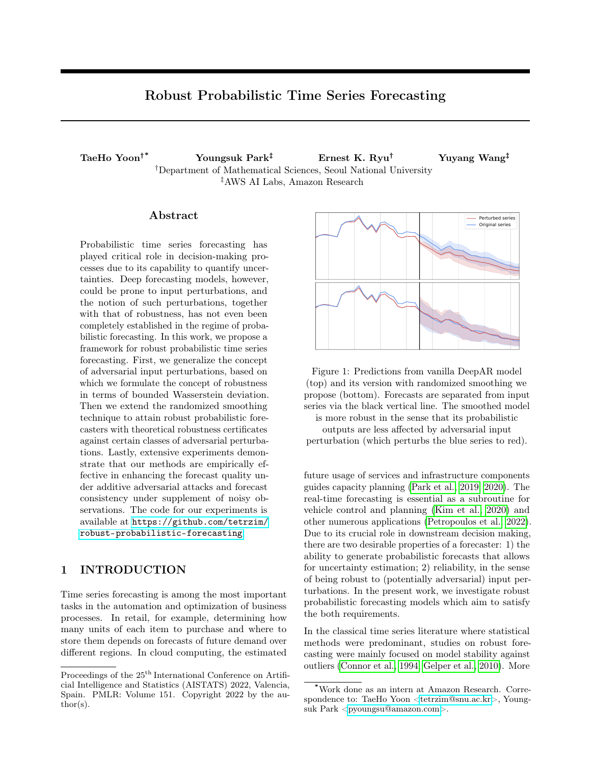|                      | Algorithm 1: Randomized smoothing for proba-              |  |  |  |
|----------------------|-----------------------------------------------------------|--|--|--|
| bilistic forecasters |                                                           |  |  |  |
|                      | <b>Input:</b> Multi-horizon sample-based forecaster $f$ , |  |  |  |

<span id="page-5-6"></span>Input series  $x \in \mathbf{p}_{x_1, \ldots, x_T \mathbf{q}, \tau, n, \sigma^2}$ **Output:** *n* sample paths  $\hat{\mathbf{x}}_T^{\mathbf{p}j\mathbf{q}}$  <sub>1:T  $\tau$ </sub> from  $g_{\sigma}$  $(j \ 1, \ldots, n)$ for  $j = 1, \ldots, n$  do  $\zeta_1, \ldots, \zeta_T \quad \text{Np0}, \sigma^2 \mathbf{q} \text{ i.i.d.}$  $x\bm{\Theta} p x_1 \quad \zeta_1, \ldots, x_T \quad \zeta_T q$  $\hat{\bm{x}}_{T-1:T-\tau}^{\text{pjq}}$  $f$ p $xq$ end

One-step ahead predictors. Consider the simple setting where f is a random function from  $R^T$  to R, which we will extend to multivariate cases later. Let us denote by  $F_x$  the cumulative distribution function (cdf) of the random variable  $f$ **p** $x$ **q**, i.e.,

# $F_x$ prq : Prrfpxq  $\boldsymbol{\alpha}$  rs

for r **P** R. Given the smoothing paramter  $\sigma$  **;** 0, we define the smoothed version  $g_{\sigma}$  of f as the random function from  $R^T$  to R with cdf

$$
G_{X,\sigma} \mathbf{p} r \mathbf{q} \quad \text{Pr} \mathbf{r}_{g_{\sigma}} \mathbf{p} x \mathbf{q} \mathbf{z} \quad r \mathbf{s} \quad \mathbf{y}
$$
\n
$$
\begin{array}{ccc} \mathbf{E} & \mathbf{r}_{X} & \mathbf{p} r \mathbf{q} p_{\sigma} \mathbf{p} z \mathbf{q} dz, \\ z & N \mathbf{p} 0, & \sigma^2 I \mathbf{q} \end{array} \quad \begin{array}{ccc} \mathbf{F}_{X} & \mathbf{p} r \mathbf{q} p_{\sigma} \mathbf{p} z \mathbf{q} dz, \end{array} \tag{12}
$$

where  $p_{\sigma}$ **pzq** is the density function of the multivariate Gaussian distribution  $N \mathbf{p} 0, \sigma^2 I \mathbf{q}$ . Below, we provide a theoretical guarantee on the robustness of the smoothed probabilistic predictor  $g_{\sigma}$ , analogous to prior results [\(Cohen et al., 2019;](#page-9-16) [Salman et al., 2019;](#page-11-13) [Chiang et al.,](#page-9-17) [2020\)](#page-9-17) for deterministic setups.

<span id="page-5-2"></span>**Theorem 1.** Let f be a random function from  $R^T$  to R, and let  $g_{\sigma}$  be as in [\(12\)](#page-5-0). Given  $\boldsymbol{x} \mathbin{\textbf{P}} \mathsf{R}^T$ , we have the inequality

Ropx; 
$$
\sigma \mathbf{q}
$$
:  $\limsup_{\lambda \to 0} \frac{W_1 \mathbf{p} G_{X,\sigma}, G_{X-\sigma} \mathbf{q}}{\lambda \delta_2}$   
\n $\mathbf{a} \frac{1}{\sigma} \mathbf{a} \phi \qquad \frac{1}{\sigma} \mathbf{p} G_{X,\sigma} \mathbf{p} \mathbf{r} \mathbf{q} \mathbf{q} dr$  (13)

provided that the integral on the right hand side is locally bounded at  $x$ , where  $\phi$ , denote the pdf and cdf of the standard normal distribution.

Note that if  $\text{Rop}x$ ;  $\sigma$ **q 8**, then f is  $\text{Op}\eta$ **q** $-\eta$  robust for  $\eta$  small enough, in the sense of Definition [1](#page-4-3) with respect to adversarial perturbations, in the one-step ahead prediction case.

Finiteness of Ropx;  $\sigma$ q. Provided that the cdf  $G_{\mathsf{X},\sigma}$ **p**r**q** of the smoothed random variable  $g_{\sigma}$ **p***x***q** has nonzero derivative at all  $r \, \mathbf{P} \, \mathsf{R}$ , we can make the change of variable  $u$   $G_{\lambda,\sigma}$ **prq** to rewrite [\(13\)](#page-5-1) as

Ropx; 
$$
\sigma \mathbf{q}
$$
 **ii**  $\frac{1}{\sigma} \int_{0}^{\mathbf{N}} \phi \mathbf{p}$  <sup>1</sup> **puqq**  $G_{x,\sigma}^{-1}$  <sup>1</sup> **puq** du.

Note that the quantity  $G_{\mathcal{X},\sigma}^{-1}$   $\mathbf{p}\omega\mathbf{q}$  is the quantile density function of  $g_{\sigma}$ pxq, while  $\phi$  $1$ puq is the inverse quantile density of the standard Gaussian. Therefore, intuitively speaking, we expect  $\text{Row}_{\mathcal{F}}$  or to be finite unless the quantiles of  $g_{\sigma}$ pxq blow up too quickly compared to those of the normal distribution as  $u \mathbf{\tilde{N}}$  0, 1. Indeed, the following Lemmas show that  $\text{Rop} x$ ;  $\sigma$ **q** 8 holds under mild, practical assumptions on  $f$ .

<span id="page-5-3"></span>**Lemma 2.** Let f and  $g_{\sigma}$  be as in Theorem [1.](#page-5-2) Suppose that there exists a function  $\varphi : R \bullet \tilde{N} R$  such that Prr|fp $x$ q| ¥  $r$ s ¤  $\varphi$ p $r$ q for any  $x$  P  $\mathsf{R}^T$  and  $r$  ; 0, and

<span id="page-5-7"></span>
$$
\begin{array}{c}\n\mathbf{a} \\
\mathbf{b} \\
0\n\end{array}
$$

Then there exists  $C_i$  0, depending only on  $\varphi$  and  $\sigma$ , such that  $\text{Rop} x$ ;  $\sigma \phi$   $C$  for all  $x \mathbf{P} R^T$ .

<span id="page-5-4"></span>Lemma 3. Suppose that f is parametrized with globally bounded mean and variance. Then f satisfies the assumptions of Lemma [2.](#page-5-3)

<span id="page-5-0"></span>In particular, the most commonly used distributions including Gaussian, generalized Student's  $t \ (\nu \; ; \; 2),$ or negative binomial are all allowed if the mean and scaling parameters are bounded.

**Multi-horizon predictors.** In the case when  $f$  is a random function from  $R^T$  to  $R^{\tau}$  as in the multi-horizon forecasting setup, we can apply Theorem [1](#page-5-2) and Lem-mas [2,](#page-5-3) [3](#page-5-4) to each component function of  $f$ . This directly implies that f, under suitable assumption, is  $Op\eta\rightarrow \eta$ robust with respect to the  $l_2$  adversarial perturbation in the sense of Definition [1,](#page-4-3) which we formally restate in the following as Corollary [4.](#page-5-5) Therefore, we take the (component-wisely) smoothed version  $g_{\sigma}$  of the baseline predictor  $f$  as our predictor with robustness guarantees, which is presented in Algorithm [1.](#page-5-6) Note that we implement  $g_{\sigma}$  by directly sampling its output paths, which is done by sampling independently over randomness in  $z$  and  $f$ .

<span id="page-5-5"></span><span id="page-5-1"></span>Corollary 4. Let  $f$  be a probabilistic multi-horizon forecaster, denoted  $f$ p $x$ q  $pf_1$ p $x$ q, ...,  $f_{\tau}$ p $x$ qq. Suppose that  $\varphi : \mathbb{R}$   $\tilde{\mathbb{N}}$  R satisfies Prrif<sub>i</sub>p $x$ q  $\neq r$ s ¤  $\varphi$ prq for any  $x \in \mathbb{R}^T$ ,  $r \in \mathbb{R}$  and  $j = 1, \ldots, \tau$ , and [\(14\)](#page-5-7) holds. Then there exists a constant  $C_i$  0 depending only on  $\varphi$  and  $\sigma$  such that for any  $\eta$  **;** 0, the smoothed forecaster  $g_{\sigma}$  defined by applying the smoothing [\(12\)](#page-5-0) to each component  $f_i$ pxq is  $C\eta$ - $\eta$  robust at all x with respect to  $T_X$  as in [\(6\)](#page-3-4) with **} } }**  $\}$ ,  $T_Y$  Id and  $d$ px; T<sub>X</sub>q **}** $\delta$  pxq**}**.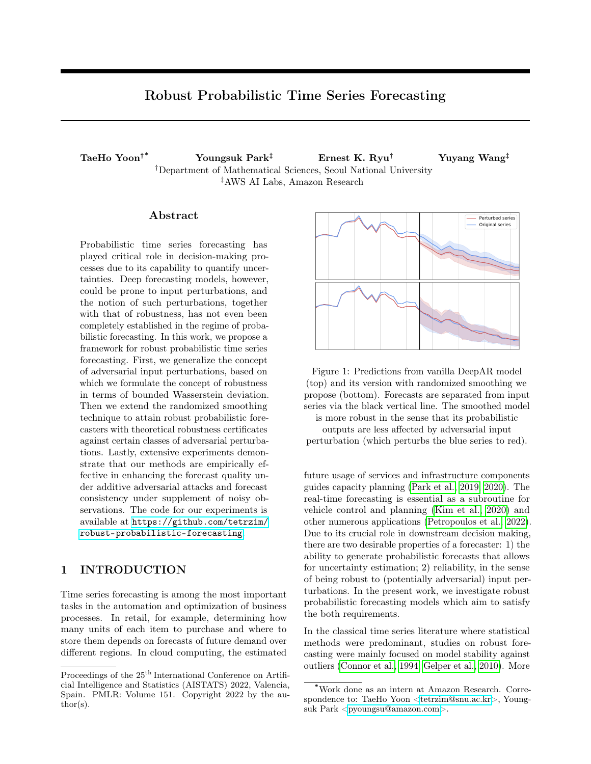|                            |  |  | <b>Algorithm 2:</b> Future smoothing for probabilistic |
|----------------------------|--|--|--------------------------------------------------------|
| autoregressive forecasters |  |  |                                                        |

<span id="page-6-0"></span>**Input:** Probabilistic autoregressive forecaster  $f$ , Input series  $\boldsymbol{x} = \boldsymbol{p}x_1, \ldots, x_T \boldsymbol{q}, \tau, n, \sigma^2$ , (Optionally) Noisy observations  $\mathbf{p}_1, \ldots, y_k$ q  $\mathbf{p}_{x_T}$  1,  $\ldots, x_{T-k}$ q **Output:** Sample forecasts  $\hat{x}_T^{\text{Pjq}}$  $(i \nk \n1, \ldots, k \n\frac{1}{\tau}, \n\frac{i}{j} \n1, \ldots, n)$ for  $i = 1, \ldots, k$   $\tau$  do if  $i \times k$  then  $\vert y_{i} \vert_1 \mathbf{D} x_{T} \vert_{i=1}$ else  $y_{i}$  1 **Ð**  $\hat{x}_{T}$  <sub>i 1</sub> for  $j = 1, \ldots, n$  do  $\zeta_1, \ldots, \zeta_{i-1}$  **D**  $\mathcal{N}$ **p**0,  $\sigma^2$ **q** i.i.d.  $\hat{x}^{\mathbf{p}j\mathbf{q}}_{T}$  ,  $\mathbf{D}$  f px;  $y_1$   $\zeta_1, \ldots, y_{i-1}$   $\zeta_{i-1}\mathbf{q}$ end  $\hat{x}_T$  , Ð  $\frac{1}{n}$  $\sum_{j=1}^n \hat{x}_T^{\mathbf{p}j\mathbf{q}}$ end end

Possible generalization of the theorems. We point out that the domain of  $f$  could be replaced with some representation space W without altering the essence of the theorems. If  $\therefore$  X  $\tilde{\mathbf{N}}$  W is an invertible representation map such that  $d \chi \mathbf{p} x$ ;  $T \chi \mathbf{q}$ **} p** $T \times$ **pxqq pxq}**<sub>2</sub>, then one can simply apply Theo-rem [1](#page-5-2) and Corollary [4](#page-5-5) to  $f$ <sup>1</sup>, which is a random function from  $W$  to R. Thus, albeit the theorems seem to only provide guarantees for local  $l_2$  perturbations, one can extend the results to fundamentally distinct types of perturbations by choosing an appropriate W, e.g., the frequency domain.

### 4.2 Noisy Autoregressive Inference for Robustness Under Time Shift

In this section, we propose a strategy, Algorithm [2,](#page-6-0) for achieving robustness against the time-shift setup of Section [3.1.2.](#page-3-3) As randomized smoothing buffers the effect of input perturbation by averaging over noised inputs, we exploit random noises to buffer the effect of appending the noisy observation  $x_{T-1}$ . Note that because the uncertainty is now within future times, we perform smoothing over future time indices.

An autoregressive forecaster  $f$  can be generally described in the form  $f$ p $x$ q pY<sub>1</sub>, Y<sub>2</sub>, ...q, where x P R<sup>T</sup> is an input series and

$$
Y_h \qquad f^{\mathbf{phq}} \mathbf{p} x; Y_1, \dots, Y_{h-1} \mathbf{q} \tag{15}
$$

for some random functions  $f^{\mathbf{p}h\mathbf{q}}$  from  $R^{T-h-1}$  to R, for h 1, 2, ... For fixed  $\sigma$  **;** 0 and  $\boldsymbol{x} \in \mathbb{R}^T$ , consider the smoothed version  $g_{\sigma}^{\mathbf{p}h\mathbf{q}}$  of  $f^{\mathbf{p}h\mathbf{q}}$ , defined as

$$
g_{\sigma}^{\mathbf{p}h\mathbf{q}}\mathbf{p}\mathbf{x}; y_1, \ldots, y_{h-1}\mathbf{q}
$$
  
\n
$$
\underset{\mathcal{N}\mathbf{p}0, \sigma^2I_{h-1}\mathbf{q}}{\in} f^{\mathbf{p}h\mathbf{q}}\mathbf{p}\mathbf{x}; y_1 \quad \zeta_1, \quad y_{h-1} \quad \zeta_{h-1}\mathbf{q}
$$

where we noise only the variables  $y_1, \ldots, y_{h-1}$  but not x. Now we define  $g_{\sigma}$ , the smoothed version of f, by  $g_{\sigma}$ pxq p $Y_1, Y_2, \ldots$ q, where

<span id="page-6-3"></span>
$$
Y_h \qquad g_{\sigma}^{\mathbf{p}h\mathbf{q}} \mathbf{p} x; y_1, \dots, y_{h-1} \mathbf{q} \tag{16}
$$

for  $h$  1, 2, ..., and  $y_j \triangleright R$   $(j \t 1, \ldots, h \t 1)$  denotes either 1) the mean forecast from  $g_{\sigma}$  at that time point (i.e. expected value of  $Y_i$ ) if the true value is unobserved, or 2) the given ground-truth value if a new observation at that time has arrived. Algorithm [2](#page-6-0) presents the procedural implementation of  $g_{\sigma}$  based on sampling. The theoretical justification for performing smoothing in this way is Corollary [5,](#page-6-1) which states the robustness property of the smoothed forecaster  $g_{\sigma}$  with respect to the notions provided in Sections [3.1.2](#page-3-3) and [3.2,](#page-4-0) which is done by applying the smoothing framework developed in Section [4.1](#page-4-4) under a slightly different setting.

<span id="page-6-1"></span>Corollary 5. Let  $f$  be an autoregressive forecaster defined as [\(15\)](#page-6-2) and suppose that  $\varphi$  : R  $\tilde{\mathbf{N}}$  R satisfies [\(14\)](#page-5-7) and

$$
\text{Pr} \quad f^{\text{phq}} \mathbf{p} x; y_1, \dots, y_{h-1} \mathbf{q} \ \mathbf{\yen} \ r \quad \mathbf{\Xi} \ \varphi \mathbf{p} r \mathbf{q}
$$

holds for each  $h = 1, 2, \ldots$  Then, for all  $\eta \in [0, \text{ the}]$ forecaster  $g_{\sigma}$  defined as [\(16\)](#page-6-3) is  $Op_{\eta}$ q- $\eta$  robust at all  $\boldsymbol{x}$  **P** R<sup>T</sup> with respect to  $T_\times, T_\times$  of Section [3.1.2](#page-3-3) and

$$
d\mathbf{p}x; T_{X}\mathbf{q} \quad \mathbf{\}}x_{T-1:T-k} \quad \hat{x}_{T-1:T-k}\mathbf{\}}_{2},
$$

where  $x_{T-1:T-k}$  are the values appended by  $T_X$  and  $\hat{\boldsymbol{x}}_{T-1:T-k}$  are the k-step mean predictions from the initial forecasts  $g_{\sigma}$ pxq.

# 4.3 Training the Baseline Model via Random Data Augmentation

<span id="page-6-2"></span>Having a baseline model  $f$  with solid prediction performance over noised inputs is the key for achieving success in randomized smoothing, which is expected to improve the theoretical certificate [\(13\)](#page-5-1) as well as practical performance [\(Cohen et al., 2019\)](#page-9-16). This encourages us to additionally apply randomized training, which augments the training dataset with random noises to adapt the baseline forecaster to random perturbations. Note that randomized training and smoothing are different schemes; in particular, the former requires training from scratch while the latter does not. In the end, we take advantage of both techniques to achieve effective robust forecasters.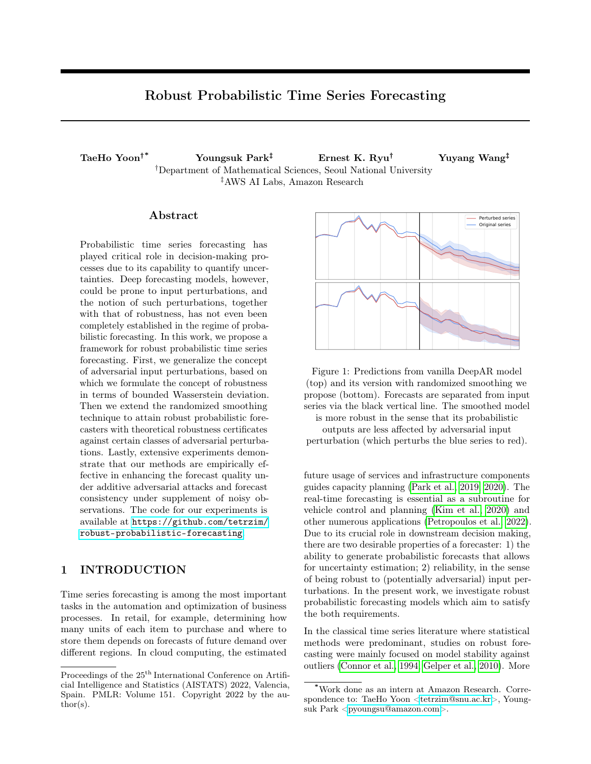<span id="page-7-1"></span>

Figure 2:  $ND_H$  from DeepAR models on different datasets. Randomized smoothing (RS) of baseline models uses  $\sigma$  0.5. Randomized training (RT) uses  $\sigma_{tr}$  0.1.

# 5 EXPERIMENTS

In this section, we demonstrate the effects of our frameworks for the DeepAR [\(Salinas et al., 2020\)](#page-11-6) implementation within GluonTS [\(Alexandrov et al., 2020\)](#page-9-13) on real datasets, including the M4-Daily, Exchange Rate, Traffic and UCI Electricity datasets preprocessed as in [Salinas et al.](#page-11-7) [\(2019\)](#page-11-7). We use DeepAR as it is the standard model with properties of being samplingbased and autoregressive, which Algorithms [1](#page-5-6) and [2](#page-6-0) respectively require.

We specifically focus on how point forecasts from the model change under input transformations of Sections [3.1.1](#page-3-2) and [3.1.2,](#page-3-3) and quantitatively assess them using the normalized deviation (ND)

$$
ND_{H} \quad \stackrel{\bullet \quad \bullet}{\longrightarrow} \frac{\bullet \quad \bullet}{\lambda \quad hP\mu} \frac{|\hat{x}_{k,T} \quad h}{\lambda \quad nP\mu} \frac{x_{k,T}^{\text{ref}}}{|x_{k,T}^{\text{ref}} \quad h}|}. \tag{17}
$$

Here  $H \in \mathbf{t}$ 1, ...,  $\tau \mathbf{u}$  is the set of prediction indices of interest, N is the size of the test dataset,  $\hat{x}_{k,T}$  h is the model's prediction for  $pT$  hq-th time step for the kth (possibly transformed) test series, and  $x_{k,T-h}^{\text{ref}}$  is the corresponding reference value (which may either be the ground-truth value or the model output before transformation, depending on the setup).

### <span id="page-7-2"></span>5.1 Prediction Performance Under Additive Adversarial Attacks

In this section, we consider the setup of Section [3.1.1,](#page-3-2) where the input transformation corresponds to the adversarial attack of [Dang-Nhu et al.](#page-9-3) [\(2020\)](#page-9-3).

Experimental setup. Following [Dang-Nhu et al.](#page-9-3)  $(2020)$ , we choose the relative  $l_2$  norm

$$
\mathbf{\mathcal{Y}}\mathbf{\mathcal{Y}}_{\times}:=\sum_{i=1}^t\mathbf{p}\delta_i\mathbf{\{x}_i\mathbf{q}^2}^{-1\mathbf{\{2}}}
$$

as the measure of perturbation magnitude. Given the set  $H \in \mathbf{t}$ 1, ...,  $\tau \mathbf{u}$  of attack indices and attack threshold  $\eta$  **;** 0, we solve the problem [\(4\)](#page-3-0) with different choices of  $t_{\text{adv}}$  and  $\lambda$ , and among the resulting approximate solutions  $\delta$  meeting the norm constraint  $\delta$ <sub>x</sub>  $\sharp$   $\eta$ , we measure the largest point forecast error in terms of normalized deviation [\(17\)](#page-7-0). Here we take the ground-truth future values as reference values, i.e.,  $x_k^{\mathrm{ref}}$  $x_{k,T}$  h. As the attack is performed under norm constraint with respect to  $\}$   $\}$ <sub>x</sub>, we accordingly use relative noises in both randomized smoothing and randomized training. That is, if the given input is  $x \in \mathbf{p}_{x_1}, \ldots, x_T \mathbf{q}$  and the randomizing variance is  $\sigma^2$ , then we use  $\mathbf{p}x_1\mathbf{p}1 \quad \zeta_1\mathbf{q}, \ldots, x_t\mathbf{p}1 \quad \zeta_t\mathbf{q}$  as noised inputs, where  $\zeta_1, \ldots, \zeta_t$  are i.i.d. samples from  $\mathcal{N}$ **p**0,  $\sigma^2$ **q**. Note that in this case, our theoretical results can be applied with locally scaled version of f with respect to each input  $x$ . To distinguish the two randomizing procedures, we respectively denote by  $\sigma^2$  and  $\sigma_{tr}^2$  the variance values of noises used in smoothing and data augmentation for training.

<span id="page-7-0"></span>Results and discussion. Figure [2](#page-7-1) respectively compares the performance of vanilla DeepAR models (trained without data augmentation; solid green line) with their corresponding smoothed versions (labeled RS; dashed blue line), and the random-trained models (labeled RT; solid red line) with their smoothed versions (labeled RS RT; dashed purple line). We observe three important points. First, for the majority of cases, randomized smoothing provides statistically significant improvement to vanilla models' performance under attacks with moderate to high threshold values  $\eta$  (see Table [2](#page-19-0) in the appendix), at the cost of possibly slightly worsening the performance for small  $\eta$ . Second, RT models tend to strongly outperform the corresponding vanilla models, uniformly over the levels of attack threshold  $\eta$ . Third, further smoothing the RT model (RS RT) can improve upon RT and in these cases, RS RT achieves the best empirical performance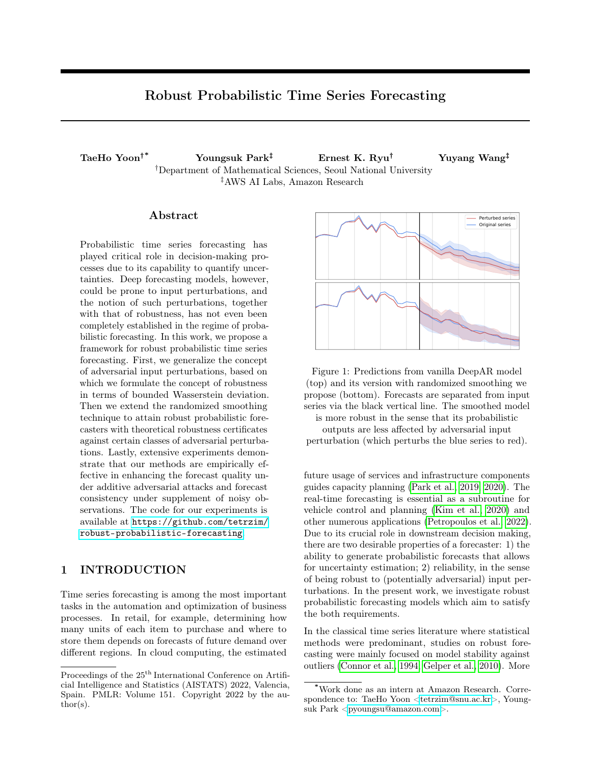<span id="page-8-0"></span>

Figure 3:  $ND_{rel}$  from DeepAR models on different datasets. Randomized training (RT) uses  $\sigma_{tr}$  0.1. Future smoothing (FS) uses  $\sigma$  1.0 for the first two datasets, and  $\sigma$  0.1 for the Traffic dataset.

against attacks with high values of  $\eta$ . Table [2,](#page-19-0) provided in the appendix, displays full experiment results for all datasets and distinct attack indices.

We emphasize that only the smoothed models are the ones that come with robustness certificates, and in particular, we find that RS RT is a promising methodology, supported from both theoretical and empirical sides. Additionally, randomized smoothing is readily applicable to any pre-trained baseline model as a postprocessing step without the cost of model retraining, and still offers a potential direction for improving the model's robustness. We believe that these points constitute important practical values of the smoothing technique in general.

Randomized training and prediction performance. As an aside, we unexpectedly find that RT tends to improve the usual prediction performance of forecasting models (see Table [1](#page-17-0) in the appendix). That is, randomizing the training data may positively impact a model's generalization in the time series domain, which we believe, is an interesting phenomenon in its own right. In the appendix, we provide further discussion on this point, connecting the observation to prior works on generalization and training with noise.

## <span id="page-8-1"></span>5.2 Forecast Consistency Under Time Shift with Noisy Observation

In this section, we examine the setup of Section [3.1.2](#page-3-3) with  $k = 1$ , where we append an adversarial observation to input series.

**Experimental setup.** Given a series  $x \in \mathbb{R}^T$ , we append  $x_{T-1}$  as in [\(8\)](#page-4-5) with various values of  $\rho$  within the range 1  $\overline{\mathbf{a}}$  log<sub>10</sub> $\mathbf{p}$ 1  $\rho \mathbf{q}$   $\overline{\mathbf{a}}$  1. As a metric, we compute the ND [\(17\)](#page-7-0) with  $x_{k,T-h}^{\text{ref}}$   $\hat{x}_{k,T-h}$  as reference values, for  $h \mathbf{P} H \mathbf{t} 2, \ldots, \tau \mathbf{u}$ . This measures the relative discrepancy between the forecasts  $\mathbf{p} \hat{x}_T$  1, ...,  $\hat{x}_T$   $\tau \mathbf{q}$ and  $\mathbf{p} \hat{x}_T^1$  <sub>2</sub>, ...,  $\hat{x}_T^1$  <sub>7</sub> 1**q**, respectively based on x and **px**;  $x_T$  1**q**, at common indices. The lower this value is,

the more consistent the forecasts are, before and after the arrival of adversarial observation  $x_{T-1}$ . We scale each input series  $x$  before applying noises; i.e.,  $x$  is replaced by  $x\mathbf{\lbrace} S_{\times} \text{ for some } S_{\times} \text{ }$  0 computed by the model to process each series within a consistent scale.

Results and discussion. Figure [3](#page-8-0) compares the metrics from vanilla DeepAR model, its smoothed version using Algorithm [2](#page-6-0) (labeled FS), the randomtrained (RT) model as in the previous section, and its smoothed version (RT FS), on each dataset. The horizontal axes represent the adversarial parameter in a logarithmic scale  $log_{10}$ **p**1  $\rho$ **q**, and the vertical axes represent the relative ND. The vanilla models already have a desirable behavior around  $\rho = 0$ , but as  $|\rho|$ grows, their forecast consistency is progressively broken. On the other hand, RT models tend to be more resilient compared to vanilla models. FS provides statistically significant improvement in forecast consistency to vanilla and RT models for large values of  $\rho$  in many cases (see Table [3](#page-21-0) in the appendix). We elicit a message similar to that of Section [5.1;](#page-7-2) RT FS is theoretically well-supported, and often achieves superior empirical performance as well. We provide Table [3](#page-21-0) containing all experiment results in the appendix.

# 6 CONCLUSION

In this paper, we study robustness in the context of probabilistic time series forecasting. We provide a framework of robust forecasting based on randomized smoothing with theoretical certificates, and display empirical effectiveness of the randomizing framework against two distinct types of input perturbations.

The formal treatment of robustness for probabilistic forecasting models is still only at its beginning. We anticipate that the topic of robust probabilistic forecasting allows for multiple interesting and promising directions of future work, including establishing tighter theoretical guarantees or more extensive empirical study with broader classes of transformations.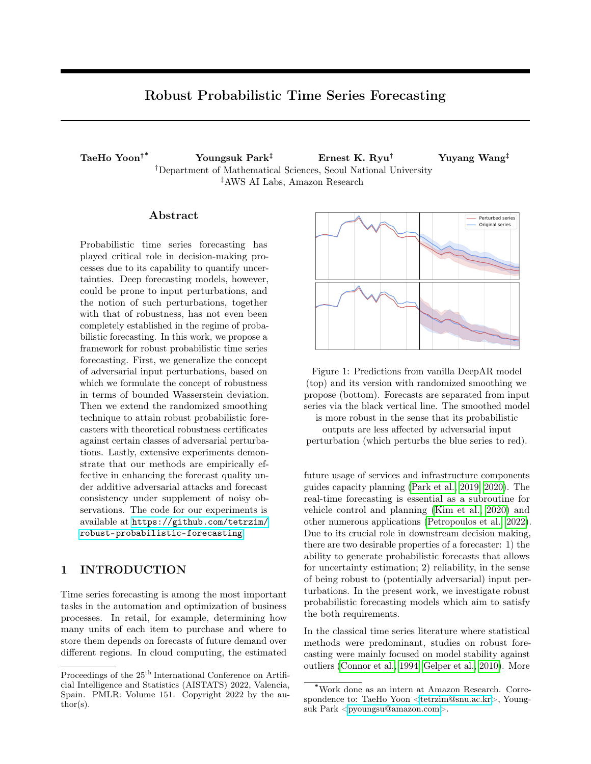## Acknowledgements

TY and EKR were supported by the National Research Foundation of Korea (NRF) Grant funded by the Korean Government (MSIP) [No. 2017R1A5A1015626] and by the Samsung Science and Technology Foundation (Project Number SSTF-BA2101-02). The authors would like to thank Nghia Hoang, Hilaf Hasson, Danielle Robinson, and Anoop Deoras in Amazon research for their fruitful feedback.

### References

- <span id="page-9-7"></span>Gabriel Agamennoni, Juan I Nieto, and Eduardo M Nebot. An outlier-robust Kalman filter. IEEE International Conference on Robotics and Automation, 2011.
- <span id="page-9-13"></span>Alexander Alexandrov, Konstantinos Benidis, Michael Bohlke-Schneider, Valentin Flunkert, Jan Gasthaus, Tim Januschowski, Danielle C Maddix, Syama Sundar Rangapuram, David Salinas, Jasper Schulz, et al. GluonTS: Probabilistic and neural time series modeling in Python. Journal of Machine Learning Research, 21(116):1-6, 2020.
- <span id="page-9-9"></span>Oren Anava, Elad Hazan, and Assaf Zeevi. Online time series prediction with missing data. International Conference on Machine Learning, 2015.
- <span id="page-9-2"></span>Sercan O Arik, Chun-Liang Li, Jinsung Yoon, Rajarishi Sinha, Arkady Epshteyn, Long T Le, Vikas Menon, Shashank Singh, Leyou Zhang, Nate Yoder, et al. Interpretable sequence learning for COVID-19 forecasting. Neural Information Processing Systems, 2020.
- <span id="page-9-14"></span>Anish Athalye, Nicholas Carlini, and David Wagner. Obfuscated gradients give a false sense of security: Circumventing defenses to adversarial examples. International Conference on Machine Learning, 2018.
- <span id="page-9-18"></span>Samy Bengio, Oriol Vinyals, Navdeep Jaitly, and Noam Shazeer. Scheduled sampling for sequence prediction with recurrent neural networks. Neural Information Processing Systems, 2015.
- <span id="page-9-12"></span>Konstantinos Benidis, Syama Sundar Rangapuram, Valentin Flunkert, Bernie Wang, Danielle Maddix, Caner Turkmen, Jan Gasthaus, Michael Bohlke-Schneider, David Salinas, Lorenzo Stella, et al. Neural forecasting: Introduction and literature overview. arXiv:2004.10240, 2020.
- <span id="page-9-20"></span>Chris M Bishop. Training with noise is equivalent to Tikhonov regularization. Neural Computation, 7(1): 108–116, 1995.
- <span id="page-9-21"></span>Guy Blanc, Neha Gupta, Gregory Valiant, and Paul Valiant. Implicit regularization for deep neural networks driven by an Ornstein–Uhlenbeck like process. Conference on Learning Theory, 2020.
- <span id="page-9-19"></span>Samuel R Bowman, Luke Vilnis, Oriol Vinyals, Andrew M Dai, Rafal Jozefowicz, and Samy Bengio. Generating sentences from a continuous space. SIGNLL Conference on Computational Natural Language Learning, 2016.
- <span id="page-9-8"></span>Guobin Chang. Robust Kalman filtering based on Mahalanobis distance as outlier judging criterion. Journal of Geodesy, 88(4):391–401, 2014.
- <span id="page-9-1"></span>Yitian Chen, Yanfei Kang, Yixiong Chen, and Zizhuo Wang. Probabilistic forecasting with temporal convolutional neural network. Neurocomputing, 399: 491–501, 2020.
- <span id="page-9-17"></span>Ping-yeh Chiang, Michael J Curry, Ahmed Abdelkader, Aounon Kumar, John Dickerson, and Tom Goldstein. Detection as regression: Certified object detection by median smoothing. Neural Information Processing Systems, 2020.
- <span id="page-9-4"></span>Tomáš Cipra. Robust exponential smoothing. Journal of Forecasting, 11(1):57–69, 1992.
- <span id="page-9-6"></span>Tomáš Cipra and R Romera. Kalman filter with outliers and missing observations. Test, 6(2):379–395, 1997.
- <span id="page-9-5"></span>Tomáš Cipra, José Trujillo, and Asunción Robio. Holtwinters method with missing observations. Management Science, 41(1):174–178, 1995.
- <span id="page-9-16"></span>Jeremy Cohen, Elan Rosenfeld, and Zico Kolter. Certified adversarial robustness via randomized smoothing. International Conference on Machine Learning, 2019.
- <span id="page-9-0"></span>J.T. Connor, R.D. Martin, and L.E. Atlas. Recurrent neural networks and robust time series prediction. IEEE Transactions on Neural Networks, 5(2):240– 254, 1994.
- <span id="page-9-22"></span>Alex Damian, Tengyu Ma, and Jason Lee. Label noise SGD provably prefers flat global minimizers. Neural Information Processing Systems, 2021.
- <span id="page-9-3"></span>Raphaël Dang-Nhu, Gagandeep Singh, Pavol Bielik, and Martin Vechev. Adversarial attacks on probabilistic autoregressive forecasting models. International Conference on Machine Learning, 2020.
- <span id="page-9-10"></span>Emmanuel de Bézenac, Syama Sundar Rangapuram, Konstantinos Benidis, Michael Bohlke-Schneider, Richard Kurle, Lorenzo Stella, Hilaf Hasson, Patrick Gallinari, and Tim Januschowski. Normalizing Kalman filters for multivariate time series analysis. Neural Information Processing Systems, 2020.
- <span id="page-9-15"></span>Krishnamurthy Dvijotham, Sven Gowal, Robert Stanforth, Relja Arandjelovic, Brendan O'Donoghue, Jonathan Uesato, and Pushmeet Kohli. Training verified learners with learned verifiers. arXiv:1805.10265, 2018.
- <span id="page-9-11"></span>Carson Eisenach, Yagna Patel, and Dhruv Madeka. MQTransformer: Multi-Horizon forecasts with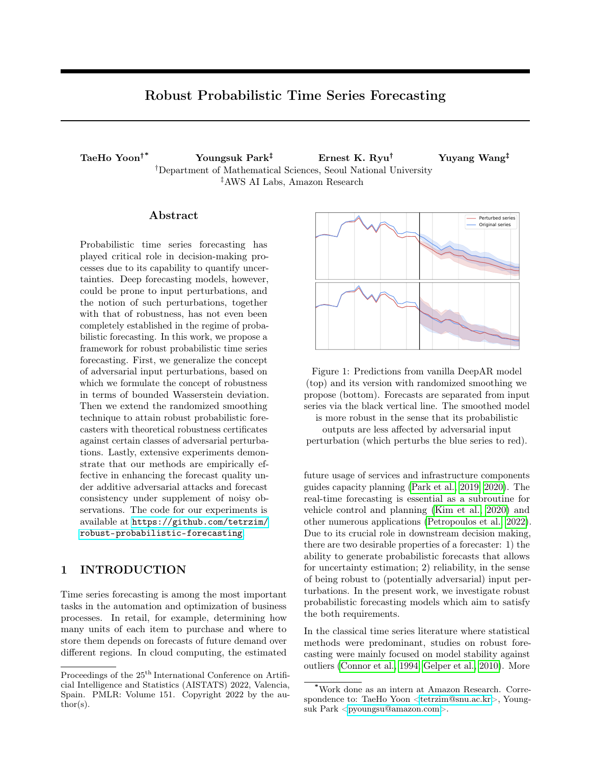context dependent and feedback-aware attention. arXiv:2009.14799, 2022.

- <span id="page-10-4"></span>Chenyou Fan, Yuze Zhang, Yi Pan, Xiaoyue Li, Chi Zhang, Rong Yuan, Di Wu, Wensheng Wang, Jian Pei, and Heng Huang. Multi-horizon time series forecasting with temporal attention learning. ACM SIGKDD International Conference on Knowledge Discovery and Data Mining, 2019.
- <span id="page-10-14"></span>Hassan Ismail Fawaz, Germain Forestier, Jonathan Weber, Lhassane Idoumghar, and Pierre-Alain Muller. Adversarial attacks on deep neural networks for time series classification. International Joint Conference on Neural Networks, pages 1–8, 2019.
- <span id="page-10-6"></span>Roman Garnett, Michael A Osborne, and Stephen J Roberts. Sequential Bayesian prediction in the presence of changepoints. International Conference on Machine Learning, 2009.
- <span id="page-10-1"></span>Sarah Gelper, Roland Fried, and Christophe Croux. Robust forecasting with exponential and Holt–Winters smoothing. Journal of Forecasting, 29(3):285-300, 2010.
- <span id="page-10-5"></span>Ian J Goodfellow, Jonathon Shlens, and Christian Szegedy. Explaining and harnessing adversarial examples. International Conference on Learning Representations, 2015.
- <span id="page-10-17"></span>Sven Gowal, Krishnamurthy Dvijotham, Robert Stanforth, Rudy Bunel, Chongli Qin, Jonathan Uesato, Relja Arandjelovic, Timothy Mann, and Pushmeet Kohli. On the effectiveness of interval bound propagation for training verifiably robust models. arXiv:1810.12715, 2018.
- <span id="page-10-7"></span>Tian Guo, Zhao Xu, Xin Yao, Haifeng Chen, Karl Aberer, and Koichi Funaya. Robust online time series prediction with recurrent neural networks. IEEE International Conference on Data Science and Advanced Analytics, 2016.
- <span id="page-10-12"></span>Hansika Hewamalage, Christoph Bergmeir, and Kasun Bandara. Recurrent neural networks for time series forecasting: Current status and future directions. International Journal of Forecasting, 37(1):388–427, 2021.
- <span id="page-10-23"></span>Lasse Holmstrom and Petri Koistinen. Using additive noise in back-propagation training. IEEE Transactions on Neural Networks, 3(1):24–38, 1992.
- <span id="page-10-8"></span>MJC Hu and Halbert E Root. An adaptive data processing system for weather forecasting. Journal of Applied Meteorology and Climatology, 3(5):513–523, 1964.
- <span id="page-10-11"></span>Xiaoyong Jin, Youngsuk Park, Danielle C. Maddix, Hao Wang, and Yuyang Wang. Domain adaptation for time series forecasting via attention sharing. arXiv:2102.06828, 2022.
- <span id="page-10-15"></span>Fazle Karim, Somshubra Majumdar, and Houshang Darabi. Adversarial attacks on time series. IEEE Transactions on Pattern Analysis and Machine Intelligence, 43(10):3309–3320, 2021.
- <span id="page-10-0"></span>Jongho Kim, Youngsuk Park, John D Fox, Stephen P Boyd, and William Dally. Optimal operation of a plug-in hybrid vehicle with battery thermal and degradation model. American Control Conference, 2020.
- <span id="page-10-16"></span>Alexey Kurakin, Ian Goodfellow, and Samy Bengio. Adversarial machine learning at scale. International Conference on Learning Representations, 2017.
- <span id="page-10-18"></span>Mathias Lecuyer, Vaggelis Atlidakis, Roxana Geambasu, Daniel Hsu, and Suman Jana. Certified robustness to adversarial examples with differential privacy. IEEE Symposium on Security and Privacy, 2019.
- <span id="page-10-21"></span>Alexander Levine, Sahil Singla, and Soheil Feizi. Certifiably robust interpretation in deep learning. arXiv:1905.12105, 2019.
- <span id="page-10-19"></span>Bai Li, Changyou Chen, Wenlin Wang, and Lawrence Carin. Certified adversarial robustness with additive noise. Neural Information Processing Systems, 2019a.
- <span id="page-10-2"></span>Shiyang Li, Xiaoyong Jin, Yao Xuan, Xiyou Zhou, Wenhu Chen, Yu-Xiang Wang, and Xifeng Yan. Enhancing the locality and breaking the memory bottleneck of transformer on time series forecasting. Neural Information Processing Systems, 2019b.
- <span id="page-10-9"></span>Bryan Lim, Sercan Ö. Arık, Nicolas Loeff, and Tomas Pfister. Temporal fusion transformers for interpretable multi-horizon time series forecasting. International Journal of Forecasting, 37(4):1748–1764, 2021.
- <span id="page-10-10"></span>Yucheng Lu, Youngsuk Park, Lifan Chen, Yuyang Wang, Christopher De Sa, and Dean Foster. Variance reduced training with stratified sampling for forecasting models. International Conference on Machine Learning, 2021.
- <span id="page-10-13"></span>Aleksander Madry, Aleksandar Makelov, Ludwig Schmidt, Dimitris Tsipras, and Adrian Vladu. Towards deep learning models resistant to adversarial attacks. International Conference on Learning Representations, 2018.
- <span id="page-10-22"></span>Kiyotoshi Matsuoka. Noise injection into inputs in back-propagation learning. IEEE Transactions on Systems, Man, and Cybernetics, 22(3):436–440, 1992.
- <span id="page-10-20"></span>Mohammad Norouzi, Samy Bengio, Navdeep Jaitly, Mike Schuster, Yonghui Wu, Dale Schuurmans, et al. Reward augmented maximum likelihood for neural structured prediction. Neural Information Processing Systems, 2016.
- <span id="page-10-3"></span>Boris N Oreshkin, Dmitri Carpov, Nicolas Chapados, and Yoshua Bengio. N-BEATS: Neural basis expan-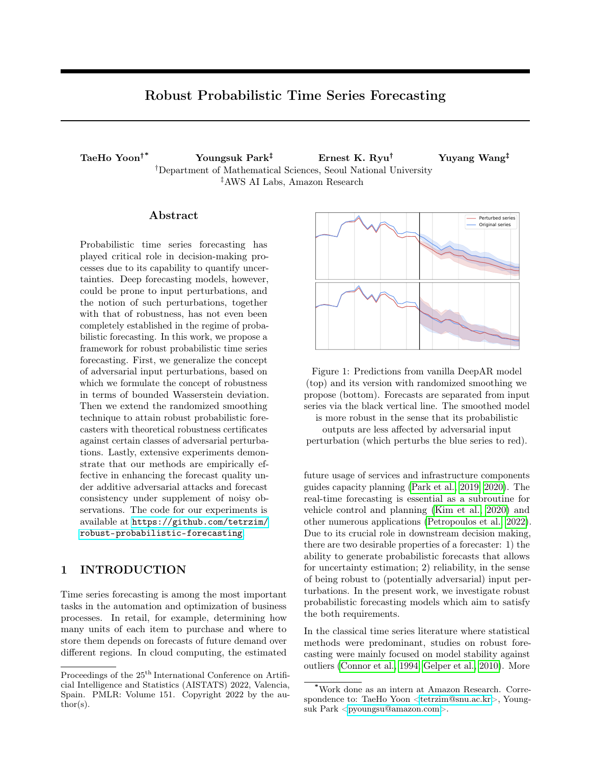sion analysis for interpretable time series forecasting. arXiv:1905.10437, 2019.

- <span id="page-11-10"></span>Nicolas Papernot, Patrick McDaniel, Ian Goodfellow, Somesh Jha, Z Berkay Celik, and Ananthram Swami. Practical black-box attacks against machine learning. ACM Asia Conference on Computer and Communications Security, 2017.
- <span id="page-11-0"></span>Youngsuk Park, Kanak Mahadik, Ryan A Rossi, Gang Wu, and Handong Zhao. Linear quadratic regulator for resource-efficient cloud services. ACM Symposium on Cloud Computing, 2019.
- <span id="page-11-1"></span>Youngsuk Park, Ryan Rossi, Zheng Wen, Gang Wu, and Handong Zhao. Structured policy iteration for linear quadratic regulator. International Conference on Machine Learning, 2020.
- <span id="page-11-9"></span>Youngsuk Park, Danielle Maddix, François-Xavier Aubet, Kelvin Kan, Jan Gasthaus, and Yuyang Wang. Learning quantile functions without quantile crossing for distribution-free time series forecasting. arXiv:2111.06581, 2021.
- <span id="page-11-2"></span>Fotios Petropoulos, Daniele Apiletti, Vassilios Assimakopoulos, Mohamed Zied Babai, Devon K. Barrow, Souhaib Ben Taieb, Christoph Bergmeir, Ricardo J. Bessa, Jakub Bijak, John E. Boylan, Jethro Browell, Claudio Carnevale, Jennifer L. Castle, Pasquale Cirillo, Michael P. Clements, Clara Cordeiro, Fernando Luiz Cyrino Oliveira, Shari De Baets, Alexander Dokumentov, Joanne Ellison, Piotr Fiszeder, Philip Hans Franses, David T. Frazier, Michael Gilliland, M. Sinan Gönül, Paul Goodwin, Luigi Grossi, Yael Grushka-Cockayne, Mariangela Guidolin, Massimo Guidolin, Ulrich Gunter, Xiaojia Guo, Renato Guseo, Nigel Harvey, David F. Hendry, Ross Hollyman, Tim Januschowski, Jooyoung Jeon, Victor Richmond R. Jose, Yanfei Kang, Anne B. Koehler, Stephan Kolassa, Nikolaos Kourentzes, Sonia Leva, Feng Li, Konstantia Litsiou, Spyros Makridakis, Gael M. Martin, Andrew B. Martinez, Sheik Meeran, Theodore Modis, Konstantinos Nikolopoulos, Dilek Önkal, Alessia Paccagnini, Anastasios Panagiotelis, Ioannis Panapakidis, Jose M. Pavía, Manuela Pedio, Diego J. Pedregal, Pierre Pinson, Patrícia Ramos, David E. Rapach, J. James Reade, Bahman Rostami-Tabar, Michał Rubaszek, Georgios Sermpinis, Han Lin Shang, Evangelos Spiliotis, Aris A. Syntetos, Priyanga Dilini Talagala, Thiyanga S. Talagala, Len Tashman, Dimitrios Thomakos, Thordis Thorarinsdottir, Ezio Todini, Juan Ramón Trapero Arenas, Xiaoqian Wang, Robert L. Winkler, Alisa Yusupova, and Florian Ziel. Forecasting: theory and practice. International Journal of Forecasting, 2022.
- <span id="page-11-12"></span>Aditi Raghunathan, Jacob Steinhardt, and Percy Liang. Certified defenses against adversarial examples. In-

ternational Conference on Learning Representations, 2018a.

- <span id="page-11-11"></span>Aditi Raghunathan, Jacob Steinhardt, and Percy Liang. Semidefinite relaxations for certifying robustness to adversarial examples. Neural Information Processing Systems, 2018b.
- <span id="page-11-8"></span>Syama Sundar Rangapuram, Matthias W Seeger, Jan Gasthaus, Lorenzo Stella, Yuyang Wang, and Tim Januschowski. Deep state space models for time series forecasting. Neural Information Processing Systems, 2018.
- <span id="page-11-14"></span>Marc'Aurelio Ranzato, Sumit Chopra, Michael Auli, and Wojciech Zaremba. Sequence level training with recurrent neural networks. International Conference on Learning Representations, 2016.
- <span id="page-11-5"></span>Goce Ristanoski, Wei Liu, and James Bailey. A timedependent enhanced support vector machine for time series regression. ACM SIGKDD International Conference on Knowledge Discovery and Data Mining, 2013.
- <span id="page-11-7"></span>David Salinas, Michael Bohlke-Schneider, Laurent Callot, Roberto Medico, and Jan Gasthaus. Highdimensional multivariate forecasting with low-rank Gaussian copula processes. Neural Information Processing Systems, 2019.
- <span id="page-11-6"></span>David Salinas, Valentin Flunkert, Jan Gasthaus, and Tim Januschowski. DeepAR: Probabilistic forecasting with autoregressive recurrent networks. International Journal of Forecasting, 36(3):1181–1191, 2020.
- <span id="page-11-13"></span>Hadi Salman, Greg Yang, Jerry Li, Pengchuan Zhang, Huan Zhang, Ilya Razenshteyn, and Sebastien Bubeck. Provably robust deep learning via adversarially trained smoothed classifiers. Neural Information Processing Systems, 2019.
- <span id="page-11-16"></span>Matteo Sangiorgio and Fabio Dercole. Robustness of LSTM neural networks for multi-step forecasting of chaotic time series. Chaos, Solitons & Fractals, 139: 110045, 2020.
- <span id="page-11-15"></span>Florian Schmidt. Generalization in generation: A closer look at exposure bias. EMNLP–IJCNLP Workshop on Neural Generation and Translation, 2019.
- <span id="page-11-3"></span>Rajat Sen, Hsiang-Fu Yu, and Inderjit Dhillon. Think globally, act locally: A deep neural network approach to high-dimensional time series forecasting. Neural Information Processing Systems, 2019.
- <span id="page-11-17"></span>Jocelyn Sietsma and Robert JF Dow. Creating artificial neural networks that generalize. Neural Networks, 4 (1):67–79, 1991.
- <span id="page-11-4"></span>Christian Szegedy, Wojciech Zaremba, Ilya Sutskever, Joan Bruna, Dumitru Erhan, Ian Goodfellow, and Rob Fergus. Intriguing properties of neural networks.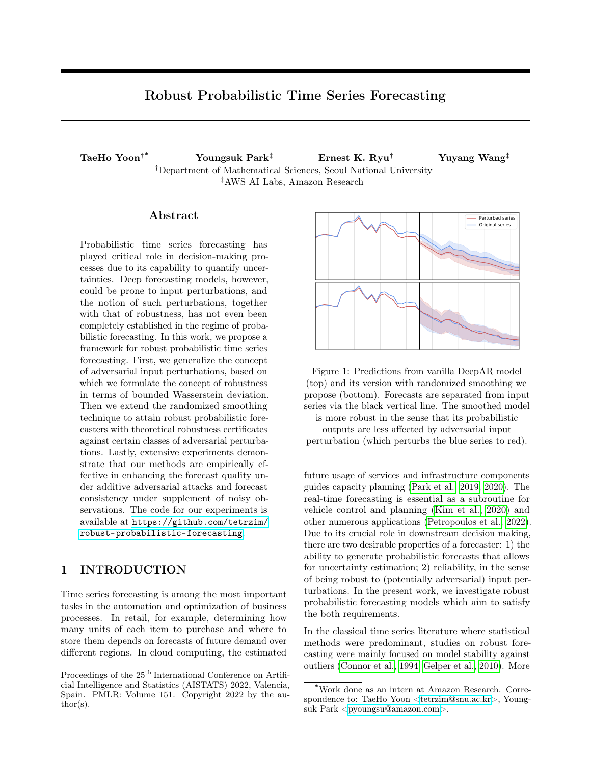International Conference on Learning Representations, 2013.

- <span id="page-12-1"></span>Jo-Anne Ting, Evangelos Theodorou, and Stefan Schaal. A Kalman filter for robust outlier detection. IEEE/RSJ International Conference on Intelligent Robots and Systems, 2007.
- <span id="page-12-2"></span>Yuyang Wang, Alex Smola, Danielle Maddix, Jan Gasthaus, Dean Foster, and Tim Januschowski. Deep factors for forecasting. International Conference on Machine Learning, 2019.
- <span id="page-12-3"></span>Ruofeng Wen, Kari Torkkola, Balakrishnan Narayanaswamy, and Dhruv Madeka. A multihorizon quantile recurrent forecaster. NeurIPS Time Series Workshop, 2017.
- <span id="page-12-4"></span>Eric Wong and Zico Kolter. Provable defenses against adversarial examples via the convex outer adversarial polytope. International Conference on Machine Learning, 2018.
- <span id="page-12-5"></span>Eric Wong, Frank R Schmidt, Jan Hendrik Metzen, and J Zico Kolter. Scaling provable adversarial defenses. Neural Information Processing Systems, 2018.
- <span id="page-12-6"></span>G Peter Zhang. A neural network ensemble method with jittered training data for time series forecasting. Information Sciences, 177(23):5329–5346, 2007.
- <span id="page-12-0"></span>Haoyi Zhou, Shanghang Zhang, Jieqi Peng, Shuai Zhang, Jianxin Li, Hui Xiong, and Wancai Zhang. Informer: Beyond efficient transformer for long sequence time-series forecasting. AAAI Conference on Artificial Intelligence, 2021.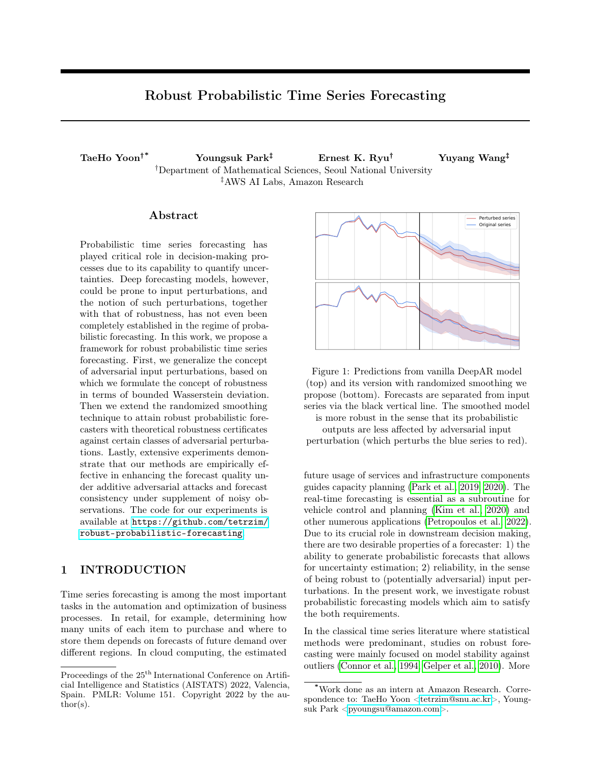# A PROOF OF THEORETICAL RESULTS

## A.1 Randomized Smoothing of Deterministic Bounded Functions

We first discuss some preliminary results on randomized smoothing of deterministic functions, which will be useful for the proofs in the subsequent sections. Roughly speaking, smoothing any bounded function results in a function with smoothness (Lipschitz continuity) property. In the classification setup, [Cohen et al.](#page-9-16) [\(2019\)](#page-9-16) provided a tight result bounding the certified radius, which is a lower bound on the norm of adversarial perturbation needed to incur incorrect classification. Here we state its generalized version, proved in [Salman et al.](#page-11-13) [\(2019\)](#page-11-13); [Levine et al.](#page-10-21) [\(2019\)](#page-10-21).

<span id="page-13-1"></span>**Lemma 6** [\(Salman et al.](#page-11-13) [\(2019\)](#page-10-21); [Levine et al.](#page-10-21) (2019)). *Given a function h* : R<sup>d</sup>  $\tilde{\mathsf{N}}$  r0, 1s, *define* 

$$
\hat{h} \mathbf{p} x \mathbf{q} : \quad \mathbf{p} h \quad \mathcal{N} \mathbf{p} 0, I_d \mathbf{q} \mathbf{q} p x \mathbf{q} \quad \underset{Z}{\in} \quad \underset{\mathcal{N} \mathbf{p} 0, I_d \mathbf{q}}{\in} \mathbf{r} h \mathbf{p} x \quad Z \mathbf{q} \mathbf{s}.
$$

 $Then \{r\}$ pxq $\}$   $\mathbf{\alpha}$   $\phi$ p  $^1$ **p** $\hat{h}$ **pxqqq**, which implies that the mapping  $x$   $\widetilde{\mathbf{N}}$   $^{-1}$  $\hat{p}$ p $\hat{n}$ pxqq is 1-Lipschitz continuous.

To repeat the nomenclature,  $\phi$ , are respectively the pdf and cdf of the standard normal distribution. Note that if we denote  $p_{\sigma}$ **pzq p** $2\pi\sigma^2$ **q** <sup>d{2</sup> exp **}z}**<sup>2</sup>{2 $\sigma^2$  the pdf for the multivariate Gaussian distribution  $\mathcal{N}$ **p**0,  $\sigma^2 I_d$ **q** and p**pzq**  $p_1$ **pzq**, then using the change of variables  $z^1$  x z, we have

$$
\sum_{\substack{r \ x \\ \mathbf{p} \ge \mathbf{p} \neq d}}^{\mathbf{p}} \frac{h \mathbf{p} x}{h \mathbf{p} x} \frac{z \mathbf{q} p z \mathbf{q} dz}{z \mathbf{q} z^1}
$$
\n
$$
\sum_{\substack{r \ x \\ \mathbf{p} \ge \mathbf{p} \neq d}}^{\mathbf{p} \ge \mathbf{p} \ge d} \frac{h \mathbf{p} z^1 \mathbf{q} p z^1}{x \mathbf{q} z^1} \frac{x \mathbf{q} dz^1}{x \mathbf{q} dz^1}
$$
\n
$$
\sum_{\substack{r \ \mathbf{p} \ge \mathbf{p} \\ \mathbf{p} \neq d}}^{\mathbf{p} \ge \mathbf{p} \ge d} \frac{z \mathbf{q} z p \mathbf{p} z \mathbf{q} dz}{x \mathbf{q} z^1} \qquad (18)
$$

The proof from [Salman et al.](#page-11-13) [\(2019\)](#page-11-13) uses the argument that if  $z \mathbf{\hat{N}} \psi$ pzq is a function such that 0  $\mathbf{\hat{x}} \psi \mathbf{\hat{z}}$  1 and

<span id="page-13-0"></span>
$$
\mathbf{w}
$$
\n
$$
\mathbf{z} \mathbf{P} \mathbf{R}^d
$$
\n
$$
\mathbf{w} \mathbf{p} \mathbf{z} \mathbf{q} \mathbf{p} \mathbf{p} \mathbf{z} \mathbf{q} \, dz \qquad s,
$$

then for any unit vector  $u$ , the following inequality holds:

$$
\mathbf{w} = \mathbf{w}
$$
\n
$$
\psi \mathbf{p} \mathbf{z} \mathbf{q} \mathbf{p} \mathbf{u} \mathbf{z} \mathbf{q} \mathbf{p} \mathbf{z} \mathbf{q} \, dz \mathbf{x} = \mathbf{1}_{\mathbf{t} \mathbf{z} \mathbf{P} \mathbf{R}^d \, | \, U \mathbf{z} \mathbf{Y}} \mathbf{1}_{\mathbf{t} \mathbf{z} \mathbf{P} \mathbf{R}^d \, | \, U \mathbf{Z} \mathbf{Y}} \mathbf{1}_{\mathbf{p} \mathbf{s} \mathbf{q} \mathbf{u}} \mathbf{p} \mathbf{z} \mathbf{q} \mathbf{p} \mathbf{u} \mathbf{z} \mathbf{q} \mathbf{p} \mathbf{z} \mathbf{q} \, dz \mathbf{q} \mathbf{p}^{-1} \mathbf{p} \mathbf{s} \mathbf{q} \mathbf{q}. \tag{19}
$$

Indeed, given the constrained budget on  $E_Z$   $\wedge_{p}O$ ,  $I_d$ qr $\psi$ p $Z$ qs, one will maximize  $E_Z$   $\wedge_{p}O$ ,  $I_d$ qrpu  $Z$ q $\psi$ p $Z$ qs only by concentrating the mass  $\psi$ pzq in the region with larger values of  $u$  z, i.e., on the set of the form tz P R<sup>d</sup> |  $u$  z ¥  $c$ u for some c **P** R. Assuming  $u \in \mathbf{p}1, 0, \ldots, 0\mathbf{q} \in \mathbb{R}^d$  without loss of generality, we get

» zPR<sup>d</sup> 1tzPR<sup>d</sup> <sup>|</sup> <sup>u</sup> <sup>z</sup>¥c<sup>u</sup> pzqppzq dz » 8 c φpz1q dz<sup>1</sup> s ðñ c 1 psq.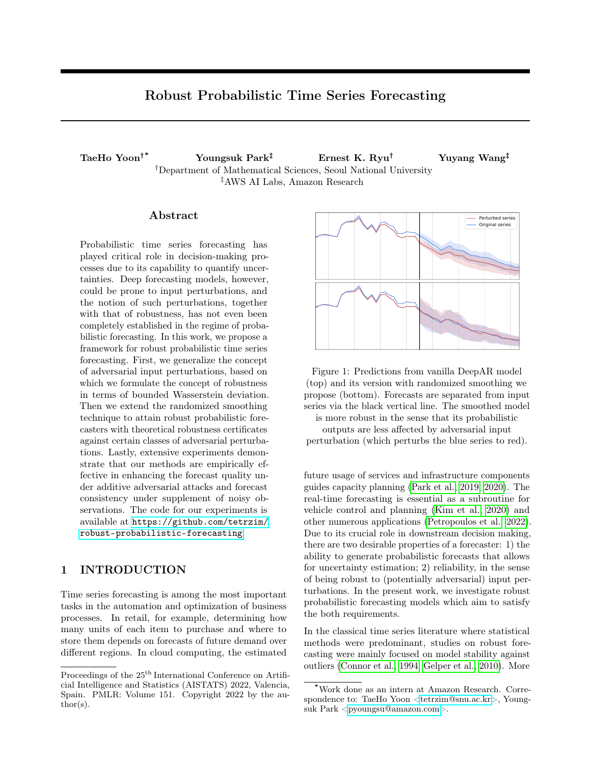### A.2 Proof of Theorem [1](#page-5-2)

Note that in  $(13)$ , we abused the notation and written the  $W_1$  distance in terms of cumulative distribution functions, as one can directly quantify the  $W_1$  distance in terms of cdf's: if  $F, G$  are respectively the cdf of a real-valued random variable and  $\mu$ ,  $\nu$  are the corresponding distributions, then

$$
W_1 \mathbf{p} \mu, \nu \mathbf{q} \prod_{0}^{\mathbf{N}_1} [F^{-1} \mathbf{p} \rho \mathbf{q} G^{-1} \mathbf{p} \rho \mathbf{q}] dp \qquad \begin{array}{c} \mathbf{w}_\mathbf{S} \\ \mathbf{g} \end{array} [F \mathbf{p} r \mathbf{q} G \mathbf{p} r \mathbf{q}] dr. \tag{20}
$$

In the case of smoothed scalar predictors  $g_{\sigma}$ , respectively evaluated at x and x  $\delta$ , we have

$$
W_1 \mathbf{p} G_{X,\sigma}, G_X \quad , \sigma \mathbf{q}
$$
\n\n**8**\n

\n\n**8**\n

\n\n**8**\n

\n\n**9**\n

\n\n**1**\n

\n\n**1**\n

\n\n**1**\n

\n\n**1**\n

\n\n**1**\n

\n\n**1**\n

\n\n**2**\n

\n\n**3**\n

\n\n**4**\n

\n\n**5**\n

\n\n**6**\n

\n\n**8**\n

\n\n**1**\n

\n\n**1**\n

\n\n**1**\n

\n\n**2**\n

\n\n**3**\n

\n\n**4**\n

\n\n**5**\n

\n\n**6**\n

\n\n**7**\n

\n\n**8**\n

\n\n**8**\n

\n\n**9**\n

\n\n**1**\n

\n\n**1**\n

\n\n**1**\n

\n\n**2**\n

\n\n**3**\n

\n\n**4**\n

\n\n**5**\n

\n\n**6**\n

\n\n**5**\n

\n\n**6**\n

\n\n**7**\n

\n\n**8**\n

\n\n**8**\n

\n\n**9**\n

\n\n**1**\n

\n\n**1**\n

\n\n**1**\n

\n\n**2**\n

\n\n**3**\n

\n\n**4**\n

\n\n**5**\n

\n\n**6**\n

\n\n**7**\n

\n\n**8**\n

\n

Now note that

$$
\begin{array}{ll}\n\mathbf{w} & \mathbf{w}_1 \\
\mathbf{z} \mathbf{P} \mathbf{R}^T\n\end{array}
$$
\n
$$
\mathbf{w}_1 \mathbf{w}_2 \mathbf{P} \mathbf{P} \mathbf{P} \mathbf{P} \mathbf{P} \mathbf{P} \mathbf{P} \mathbf{P} \mathbf{P} \mathbf{P} \mathbf{P} \mathbf{P} \mathbf{P} \mathbf{P} \mathbf{P} \mathbf{P} \mathbf{P} \mathbf{P} \mathbf{P} \mathbf{P} \mathbf{P} \mathbf{P} \mathbf{P} \mathbf{P} \mathbf{P} \mathbf{P} \mathbf{P} \mathbf{P} \mathbf{P} \mathbf{P} \mathbf{P} \mathbf{P} \mathbf{P} \mathbf{P} \mathbf{P} \mathbf{P} \mathbf{P} \mathbf{P} \mathbf{P} \mathbf{P} \mathbf{P} \mathbf{P} \mathbf{P} \mathbf{P} \mathbf{P} \mathbf{P} \mathbf{P} \mathbf{P} \mathbf{P} \mathbf{P} \mathbf{P} \mathbf{P} \mathbf{P} \mathbf{P} \mathbf{P} \mathbf{P} \mathbf{P} \mathbf{P} \mathbf{P} \mathbf{P} \mathbf{P} \mathbf{P} \mathbf{P} \mathbf{P} \mathbf{P} \mathbf{P} \mathbf{P} \mathbf{P} \mathbf{P} \mathbf{P} \mathbf{P} \mathbf{P} \mathbf{P} \mathbf{P} \mathbf{P} \mathbf{P} \mathbf{P} \mathbf{P} \mathbf{P} \mathbf{P} \mathbf{P} \mathbf{P} \mathbf{P} \mathbf{P} \mathbf{P} \mathbf{P} \mathbf{P} \mathbf{P} \mathbf{P} \mathbf{P} \mathbf{P} \mathbf{P} \mathbf{P} \mathbf{P} \mathbf{P} \mathbf{P} \mathbf{P} \mathbf{P} \mathbf{P} \mathbf{P} \mathbf{P} \mathbf{P} \mathbf{P} \mathbf{P} \mathbf{P} \mathbf{P} \mathbf{P} \mathbf{P} \mathbf{P} \mathbf{P} \mathbf{P} \mathbf{P} \mathbf{P} \mathbf{P} \mathbf
$$

where in the last line we make the change of variables  $z^1$   $\frac{z \times t}{\sigma}$ . Because the mapping  $z^1 \widetilde{\mathbf{N}} F_{x-t}$   $\sigma z^1$  prop is a function  $R^T \mathbf{\tilde{N}}$  r0, 1s, by [\(19\)](#page-13-0) we have

$$
\mathbf{E}_{\mathbf{z}} \mathbf{p}_{\mathbf{F}^T} F_{\mathbf{z}} \mathbf{p} \mathbf{r} \mathbf{q} \mathbf{p} \rho_{\sigma} \mathbf{p} \mathbf{z} \quad \mathbf{z} \mathbf{q} \quad p_{\sigma} \mathbf{p} \mathbf{z} \quad \mathbf{x} \quad \delta \mathbf{q} \mathbf{q} \, dz \quad \mathbf{x} \quad \frac{1}{\sigma} \sum_{\substack{\mathbf{p} \\ \mathbf{p} \\ \mathbf{p} \\ \mathbf{p} \\ \mathbf{p} \\ \mathbf{p} \\ \mathbf{p} \\ \mathbf{p} \\ \mathbf{p} \\ \mathbf{p} \\ \mathbf{p} \\ \mathbf{p} \\ \mathbf{p} \\ \mathbf{p} \\ \mathbf{p} \\ \mathbf{p} \\ \mathbf{p} \\ \mathbf{p} \\ \mathbf{p} \\ \mathbf{p} \\ \mathbf{p} \\ \mathbf{p} \\ \mathbf{p} \\ \mathbf{p} \\ \mathbf{p} \\ \mathbf{p} \\ \mathbf{p} \\ \mathbf{p} \\ \mathbf{p} \\ \mathbf{p} \\ \mathbf{p} \\ \mathbf{p} \\ \mathbf{p} \\ \mathbf{p} \\ \mathbf{p} \\ \mathbf{p} \\ \mathbf{p} \\ \mathbf{p} \\ \mathbf{p} \\ \mathbf{p} \\ \mathbf{p} \\ \mathbf{p} \\ \mathbf{p} \\ \mathbf{p} \\ \mathbf{p} \\ \mathbf{p} \\ \mathbf{p} \\ \mathbf{p} \\ \mathbf{p} \\ \mathbf{p} \\ \mathbf{p} \\ \mathbf{p} \\ \mathbf{p} \\ \mathbf{p} \\ \mathbf{p} \\ \mathbf{p} \\ \mathbf{p} \\ \mathbf{p} \\ \mathbf{p} \\ \mathbf{p} \\ \mathbf{p} \\ \mathbf{p} \\ \mathbf{p} \\ \mathbf{p} \\ \mathbf{p} \\ \mathbf{p} \\ \mathbf{p} \\ \mathbf{p} \\ \mathbf{p} \\ \mathbf{p} \\ \mathbf{p} \\ \mathbf{p} \\ \mathbf{p} \\ \mathbf{p} \\ \mathbf{p} \\ \mathbf{p} \\ \mathbf{p} \\ \mathbf{p} \\ \mathbf{p} \\ \mathbf{p} \\ \mathbf{p} \\ \mathbf{p} \\ \mathbf{p} \\ \mathbf{p} \\ \mathbf{p} \\ \mathbf{p}
$$

Therefore, provided that <sup>3</sup>8  $\mathbf{s} \phi$ p <sup>1</sup>p $G_{\mathcal{X}^1,\sigma}$ prqqq $dr$  C for  $x^1$  near x for some C i 0, one can apply the dominated convergence theorem to obtain

<span id="page-14-0"></span>
$$
\limsup_{\delta \to 0} \frac{W_1 p G_{X,\sigma}, G_{X-\sigma} q}{\delta \delta} \text{ if } \limsup_{\delta \to 0} \frac{X^2 g}{\delta \sigma} \frac{1}{\delta} \phi \text{ if } \log_{X-t_0,\sigma} p \text{ and } dr
$$
\n
$$
\lim_{\delta \to 0} \frac{1}{\delta \sigma} \lim_{\delta \to 0} \phi \text{ if } \log_{X-t_0,\sigma} p \text{ and } dr
$$
\n
$$
\lim_{\delta \to 0} \frac{1}{\delta \sigma} \phi \text{ if } \log_{X,\sigma} p \text{ and } dr
$$
\n
$$
\lim_{\delta \to 0} \phi \text{ if } \log_{X,\sigma} p \text{ and } dr
$$
\n
$$
\lim_{\delta \to 0} \frac{1}{\delta \sigma} \phi \text{ if } \log_{X,\sigma} p \text{ and } dr
$$
\n
$$
\log_{X/\sigma} q
$$

where we applied the fact that  $\lim_{\lambda \to 0} G_{X} t$ ,  $\sigma$ prq  $G_X$ prq by Lemma [6.](#page-13-1)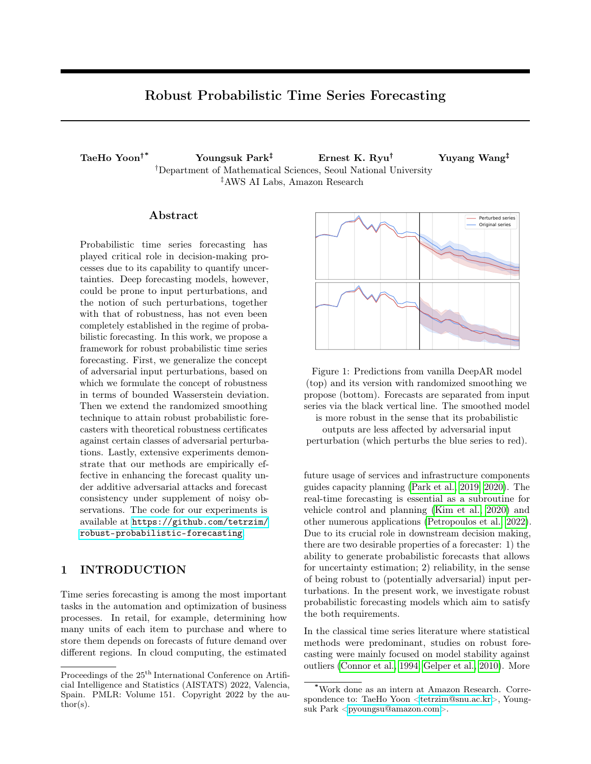### A.3 Proof of Lemma [2](#page-5-3)

For  $r = 0$ , we proceed similarly as we bounded [\(21\)](#page-14-0), but bound the integrand in a different way:

$$
\mathbf{p}_{\text{R}} \mathbf{r}_{\text{R}} \mathbf{r}_{\text{R}} \mathbf{r}_{\text{R}} \mathbf{r}_{\text{R}} \mathbf{r}_{\text{R}} \mathbf{r}_{\text{R}} \mathbf{r}_{\text{R}} \mathbf{r}_{\text{R}} \mathbf{r}_{\text{R}} \mathbf{r}_{\text{R}} \mathbf{r}_{\text{R}} \mathbf{r}_{\text{R}} \mathbf{r}_{\text{R}} \mathbf{r}_{\text{R}} \mathbf{r}_{\text{R}} \mathbf{r}_{\text{R}} \mathbf{r}_{\text{R}} \mathbf{r}_{\text{R}} \mathbf{r}_{\text{R}} \mathbf{r}_{\text{R}} \mathbf{r}_{\text{R}} \mathbf{r}_{\text{R}} \mathbf{r}_{\text{R}} \mathbf{r}_{\text{R}} \mathbf{r}_{\text{R}} \mathbf{r}_{\text{R}} \mathbf{r}_{\text{R}} \mathbf{r}_{\text{R}} \mathbf{r}_{\text{R}} \mathbf{r}_{\text{R}} \mathbf{r}_{\text{R}} \mathbf{r}_{\text{R}} \mathbf{r}_{\text{R}} \mathbf{r}_{\text{R}} \mathbf{r}_{\text{R}} \mathbf{r}_{\text{R}} \mathbf{r}_{\text{R}} \mathbf{r}_{\text{R}} \mathbf{r}_{\text{R}} \mathbf{r}_{\text{R}} \mathbf{r}_{\text{R}} \mathbf{r}_{\text{R}} \mathbf{r}_{\text{R}} \mathbf{r}_{\text{R}} \mathbf{r}_{\text{R}} \mathbf{r}_{\text{R}} \mathbf{r}_{\text{R}} \mathbf{r}_{\text{R}} \mathbf{r}_{\text{R}} \mathbf{r}_{\text{R}} \mathbf{r}_{\text{R}} \mathbf{r}_{\text{R}} \mathbf{r}_{\text{R}} \mathbf{r}_{\text{R}} \mathbf{r}_{\text{R}} \mathbf{r}_{\text{R}} \mathbf{r}_{\text{R}} \mathbf{r}_{\text{R}} \mathbf{r}_{\text{R}} \mathbf{r}_{\text{R}} \mathbf{r}_{\text{R}} \mathbf{r}_{\text{R}} \mathbf{r}_{\text{R}} \mathbf{r}_{\text{R}} \mathbf{r}_{\text{R}} \mathbf{r}_{\text{R}} \mathbf{r}_{\text{R}} \mathbf{r}_{\text{R}} \
$$

for  $j \quad 1, \ldots, \tau$ . Note that

**W**  

$$
z^{\mathbf{p}_{\mathcal{F}}T} p_{\sigma} \mathbf{p} z \quad x \mathbf{q} \quad p_{\sigma} \mathbf{p} z \quad x \quad \delta \mathbf{q} dz \quad 0,
$$

so for  $r \nvert$  0, we can write

$$
\mathbf{p}_{\text{PRT}} \mathbf{p}_{\text{PRT}} \mathbf{p}_{\text{PRT}} \mathbf{p}_{\text{PRT}} \mathbf{p}_{\text{PRT}} \mathbf{p}_{\text{PRT}} \mathbf{p}_{\text{PRT}} \mathbf{p}_{\text{PRT}} \mathbf{p}_{\text{PRT}} \mathbf{p}_{\text{PRT}} \mathbf{p}_{\text{PRT}} \mathbf{p}_{\text{PRT}} \mathbf{p}_{\text{PRT}} \mathbf{p}_{\text{PRT}} \mathbf{p}_{\text{PRT}} \mathbf{p}_{\text{PRT}} \mathbf{p}_{\text{PRT}} \mathbf{p}_{\text{PRT}} \mathbf{p}_{\text{PRT}} \mathbf{p}_{\text{PRT}} \mathbf{p}_{\text{PRT}} \mathbf{p}_{\text{PRT}} \mathbf{p}_{\text{PRT}} \mathbf{p}_{\text{PRT}} \mathbf{p}_{\text{PRT}} \mathbf{p}_{\text{PRT}} \mathbf{p}_{\text{PRT}} \mathbf{p}_{\text{PRT}} \mathbf{p}_{\text{PRT}} \mathbf{p}_{\text{PRT}} \mathbf{p}_{\text{PRT}} \mathbf{p}_{\text{PRT}} \mathbf{p}_{\text{PRT}} \mathbf{p}_{\text{PRT}} \mathbf{p}_{\text{PRT}} \mathbf{p}_{\text{PRT}} \mathbf{p}_{\text{PRT}} \mathbf{p}_{\text{PRT}} \mathbf{p}_{\text{PRT}} \mathbf{p}_{\text{PRT}} \mathbf{p}_{\text{PRT}} \mathbf{p}_{\text{PRT}} \mathbf{p}_{\text{PRT}} \mathbf{p}_{\text{PRT}} \mathbf{p}_{\text{PRT}} \mathbf{p}_{\text{PRT}} \mathbf{p}_{\text{PRT}} \mathbf{p}_{\text{PRT}} \mathbf{p}_{\text{PRT}} \mathbf{p}_{\text{PRT}} \mathbf{p}_{\text{PRT}} \mathbf{p}_{\text{PRT}} \mathbf{p}_{\text{PRT}} \mathbf{p}_{\text{PRT}} \mathbf{p}_{\text{PRT}} \mathbf{p}_{\text{PRT}} \mathbf{p}_{\text{PRT}} \mathbf{p}_{\text{PRT}} \mathbf{p}_{\text{PRT}} \mathbf{p}_{\text{PRT}} \mathbf{p}_{\text{PRT}} \mathbf{p}_{\text{PRT}} \mathbf{p}_{\text{PRT}} \mathbf{
$$

Therefore, if we denote  $F_{j,\times}$ prq Prr $f_j$ pxq ¤ rs and  $G_{j,\times,\sigma}$ prq  $_{Z{\bf P} {\bf R}^T}$   $F_{j,X}$   $_{Z}$ p $r$ q $p_{\sigma}$ p $z$ q $dz,$ 

$$
W_1 \mathbf{p} G_{j, x, \sigma}, G_{j, x}, \sigma \mathbf{q}
$$
\n
$$
\mathbf{B} \mathbf{B} \mathbf{B} \mathbf{B} \mathbf{B} \mathbf{B} \mathbf{B} \mathbf{B} \mathbf{B} \mathbf{B} \mathbf{B} \mathbf{B} \mathbf{B} \mathbf{B} \mathbf{B} \mathbf{B} \mathbf{B} \mathbf{B} \mathbf{B} \mathbf{B} \mathbf{B} \mathbf{B} \mathbf{B} \mathbf{B} \mathbf{B} \mathbf{B} \mathbf{B} \mathbf{B} \mathbf{B} \mathbf{B} \mathbf{B} \mathbf{B} \mathbf{B} \mathbf{B} \mathbf{B} \mathbf{B} \mathbf{B} \mathbf{B} \mathbf{B} \mathbf{B} \mathbf{B} \mathbf{B} \mathbf{B} \mathbf{B} \mathbf{B} \mathbf{B} \mathbf{B} \mathbf{B} \mathbf{B} \mathbf{B} \mathbf{B} \mathbf{B} \mathbf{B} \mathbf{B} \mathbf{B} \mathbf{B} \mathbf{B} \mathbf{B} \mathbf{B} \mathbf{B} \mathbf{B} \mathbf{B} \mathbf{B} \mathbf{B} \mathbf{B} \mathbf{B} \mathbf{B} \mathbf{B} \mathbf{B} \mathbf{B} \mathbf{B} \mathbf{B} \mathbf{B} \mathbf{B} \mathbf{B} \mathbf{B} \mathbf{B} \mathbf{B} \mathbf{B} \mathbf{B} \mathbf{B} \mathbf{B} \mathbf{B} \mathbf{B} \mathbf{B} \mathbf{B} \mathbf{B} \mathbf{B} \mathbf{B} \mathbf{B} \mathbf{B} \mathbf{B} \mathbf{B} \mathbf{B} \mathbf{B} \mathbf{B} \mathbf{B} \mathbf{B} \mathbf{B} \mathbf{B} \mathbf{B} \mathbf{B} \mathbf{B} \mathbf{B} \mathbf{B} \mathbf{B} \mathbf{B} \mathbf{B} \mathbf{B} \mathbf{B} \mathbf{B} \mathbf{B} \mathbf{B} \mathbf{B} \mathbf{B} \mathbf{B} \mathbf{B} \mathbf{B} \mathbf{B} \mathbf{B
$$

This shows that the smoothed forecaster  $g\mathbf{p}x\mathbf{q}$   $\mathbf{p}g_1\mathbf{p}x\mathbf{q}, \ldots, g_{\tau}\mathbf{p}x\mathbf{q}$  is  $C\eta$   $\eta$  robust in the given sense, where

$$
C = \frac{1}{\sigma} \int_{0}^{\mathbf{N}} \rho \mathbf{p} r \mathbf{q} dr \qquad \sum_{z \mathbf{P} R^{T}} \mathbf{z} \mathbf{p} \mathbf{p} z \mathbf{q} dz \qquad \mathbf{8}.
$$

Remark. The constant C may be chosen more tightly; for example, applying the bound in the above proof for r **i** R with some large R, and using the original bound of Theorem [1](#page-5-2) for  $r \times R$  would result in

$$
C = \frac{1}{\sigma} \sum_{R}^{\mathbf{w}_{R}} \phi \mathbf{p} \frac{1}{\rho} G_{X,\sigma} \mathbf{p} r \mathbf{q} \mathbf{q} q dr \sum_{R}^{\mathbf{w}_{R}} \phi \mathbf{p} r \mathbf{q} dr \sum_{\mathbf{z} \mathbf{P} \in T} \mathbf{y}_{\mathbf{z}} \mathbf{y}_{\mathbf{p}} \mathbf{p}_{\mathbf{z}} \mathbf{q} dz ,
$$

which can be smaller.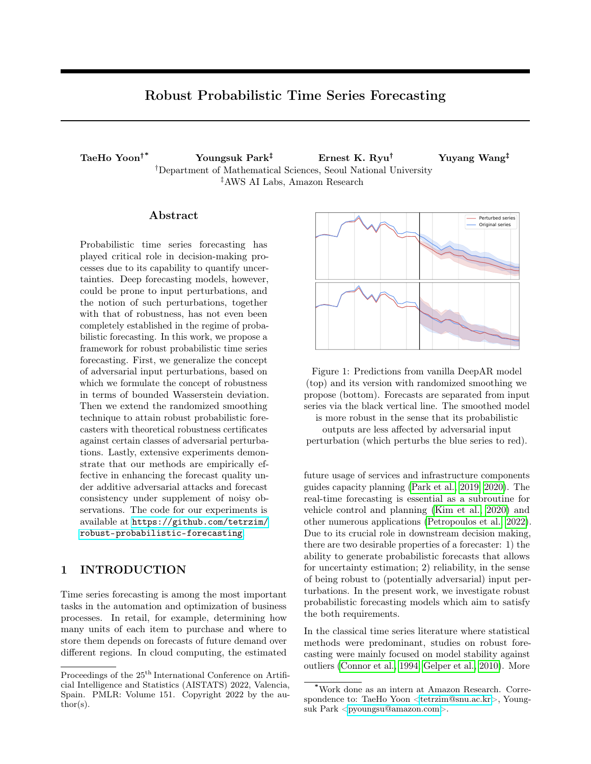#### A.4 Proof of Lemma [3](#page-5-4)

Suppose that there is  $M_1, M_2$  ; 0 such that  $\text{[Erfpxqs]} \boxtimes M_1$  and  $\text{Varrfpxqs} \boxtimes M_2$  holds for all  $x \in \mathbb{R}^T$ . Then for any  $x \mathbf{P} \mathbb{R}^T$  and  $r_i$  0,

$$
r^2
$$
Prr|  $f$ pxq|  $\ncong$  rs  $\mathbf{a}$  Er $f$ pxq<sup>2</sup>s Varr $f$ pxqs | Er $f$ pxqs|<sup>2</sup>  $\mathbf{a}$   $M_1^2$   $M_2$ .

Thus one can simply take  $\varphi$ **p***r***q** 1 for *r* **P r**0, 1**s** and  $\varphi$ **p***r***q**  $\frac{M_1^2 - M_2}{r^2}$  for *r* **i** 1.

#### A.5 Proof of Corollary [5](#page-6-1)

Denote  $g_{\sigma}$ pxq pY<sub>1</sub>, Y<sub>2</sub>,...q and  $g_{\sigma}$ px;  $x_{T-1:T-k}$ q pY<sub>k<sub>1</sub></sub>, Y<sub>k<sub>2</sub></sub>,...q. Denote the probability measures corresponding to the random variables  $Y_h, Y_h^{\mathbf{1}}$  respectively by  $\mu_h, \mu_h^{\mathbf{1}}$ . When  $\boldsymbol{x} \in \mathbb{R}^T$  is fixed, we can view  $f^{\mathbf{p}h\mathbf{q}}$  $\mathbf{p}x$ ;  $y_1, \ldots, y_{h-1}\mathbf{q}$  as a function of  $\mathbf{p}y_1, \ldots, y_{h-1}\mathbf{q}$   $\mathbf{P} \in \mathbb{R}^h$ , for each  $h$  1, 2, ... Because we have

$$
\text{Pr} \quad f^{\text{phq}} \mathbf{p} x; y_1, \dots, y_{h-1} \mathbf{q} \ \mathbf{\yen} \ r \quad \mathbf{\Xi} \ \varphi \mathbf{p} r \mathbf{q},
$$

we can apply Corollary [4](#page-5-5) with  $f^{\mathbf{p}h\mathbf{q}} \mathbf{p}x$ ;  $\mathbf{q} : \mathbb{R}^{h-1} \mathbf{\tilde{N}} \mathbb{R}$ , which implies that there exists  $C_h$ ; 0 such that

$$
g_{\sigma}^{\text{phq}} \text{p}x; y_1, \ldots, y_{h-1} \text{q} \qquad \underset{N \text{p}0, \sigma^2 I_{h-1} \text{q}}{\mathbb{E}} \text{r}f \text{p}x_{1:T}; y_1 \quad \zeta_1, \quad y_{h-1} \quad \zeta_{h-1} \text{q} \text{s}
$$

satisfies

$$
W_1 \quad G_{\mathcal{Y}^1,\sigma}^{\mathbf{phq}}, G_{\mathcal{Y},\sigma}^{\mathbf{phq}} \quad \mathbf{x} \ C_h \quad \mathbf{y^1} \quad y \Big|_2
$$

for any  $y = \mathbf{p}y_1, \ldots, y_{h-1}\mathbf{q}$  and  $y^1 = \mathbf{p}y_1^1, \ldots, y_{h-1}^1\mathbf{q}$ , where  $G_{\mathcal{Y},\sigma}^{\mathbf{p}k\mathbf{q}}$  is the cdf for the random variable  $g_{\sigma}^{\mathbf{p}k\mathbf{q}}$  and  $W_1$ distance between the cdfs denotes the  $W_1$  distance between the corresponding probability measures by abuse of notation. Applying the above bound in the case h k  $1, y \propto x$ <sup>T</sup>  $1:T$  k and  $y^1$  x  $x$ <sup>T</sup>  $1:T$  k gives

$$
W_1\mathbf{p}\mu^1_{k-1},\mu_{k-1}\mathbf{q}-W_1-G^{\mathbf{p}k\mathbf{q}}_{\mathbf{x}_T-1:T-k},\sigma,G^{\mathbf{p}k\mathbf{q}}_{\mathbf{x}_{T-1:T-k},\sigma}-\mathbf{x}~C_k\,\mathbf{j}\mathbf{x}_{T-1:T-k}-\mathbf{\hat{x}}_{T-1:T-k}\,\mathbf{j}_2
$$

because  $Y_{k-1} = g_{\sigma}^{\mathbf{p},\mathbf{k}} \mathbf{p} x$ ;  $\hat{\mathbf{x}}_{T-1:T-k}$  and  $Y_{k-1}^{\mathbf{1}} = g_{\sigma}^{\mathbf{p},\mathbf{k}} \mathbf{p} x$ ;  $\mathbf{x}_{T-1:T-k}$  and  $Y_{k-1}^{\mathbf{1}} = g_{\sigma}^{\mathbf{p},\mathbf{k}} \mathbf{p} x$ ;  $\mathbf{x}_{T-1:T-k}$  and  $Y_{k-1}^{\mathbf{1}} = g_{\sigma}^{\mathbf{p},\mathbf{k}}$  and between the mean point forecasts:

$$
\overline{Y}_{k-1}^{\mathbf{1}} \quad \overline{Y}_{k-1} \quad \mathcal{L}_{T-k-1}^{\mathbf{1}} \quad \mathcal{L}_{T-k-1} \quad \mathbb{E} \quad g_{\sigma}^{\mathbf{p}k\mathbf{q}} \mathbf{p} \mathbf{x}; \mathbf{x}_{T-1:T-k} \mathbf{q} \quad \mathbb{E} \mathbf{r} g_{\sigma}^{\mathbf{p}k\mathbf{q}} \mathbf{p} \mathbf{x}; \mathbf{x}_{T-1:T-k} \mathbf{q}
$$
\n
$$
\mathbf{x} \quad \sup_{\chi:1-\text{Lipschitz}} \mathbb{E} \quad \chi \quad g_{\sigma}^{\mathbf{p}k\mathbf{q}} \mathbf{p} \mathbf{x}; \mathbf{x}_{T-1:T-k} \mathbf{q} \quad \mathbb{E} \quad \chi \quad g_{\sigma}^{\mathbf{p}k\mathbf{q}} \mathbf{p} \mathbf{x}; \mathbf{x}_{T-1:T-k} \mathbf{q}
$$
\n
$$
W_1 \quad G_{\mathcal{N},\sigma}^{\mathbf{p}k\mathbf{q}}, G_{\mathcal{Y},\sigma}^{\mathbf{p}k\mathbf{q}}
$$
\n
$$
\mathbf{x} \quad C_k \mathbf{y}_{\mathbf{x}^T-1:T-k} \quad \mathbf{x}_{T-1:T-k} \mathbf{y}_2.
$$

Then we obtain

$$
\pmb{x}_{T-1:T-k};\hat{x}_{T-k-1}^{\pmb{1}}=\pmb{\mathfrak{p}}\hat{x}_{T-1:T-k};\hat{x}_{T-k-1}\pmb{\mathfrak{q}}_{-2}\text{ } \pmb{\mathfrak{x}}\text{ }\pmb{\mathfrak{p}}\text{ }\pmb{1}=C_{k}\pmb{\mathfrak{q}}\pmb{\mathfrak{z}}\pmb{x}_{T-1:T-k}-\hat{x}_{T-1:T-k}\pmb{\mathfrak{z}}_{2}\,,
$$

which again implies

$$
W_1 \mathbf{p} \mu_k^1_{k=2}, \mu_k_{k=2} \mathbf{q} = W_1 - G_{\mathbf{p} \times T_{-1:T-k}}^{\mathbf{p} \times \mathbf{q}} \mu_k^1 \mu_k^2 \pi_{k=1} \mathbf{q}, \sigma, G_{\mathbf{p} \times T_{-1:T-k}}^{\mathbf{p} \times \mathbf{q}} \mu_k^2 \pi_{k=1} \mathbf{q}, \sigma
$$
  
\n
$$
\mathbf{z} = C_{k=1} - \mathbf{z} T_{-1:T-k}; \hat{x}^1_{T=k=1} - \mathbf{p} \hat{x} T_{-1:T-k}; \hat{x} T_{k=1} \mathbf{q} = 2
$$
  
\n
$$
\mathbf{z} = C_{k=1} \mathbf{p} 1 - C_k \mathbf{q} \mathbf{z} T_{-1:T-k} - \hat{x} T_{-1:T-k} \mathbf{z} T_{2}.
$$

Repeating the same argument, we see that

 $T$ yp $g_\sigma$ p $x$ qq  $T$ yp $Y_1,Y_2,\ldots$ q p $Y_{k-1},Y_{k-2},\ldots$ q p $Y_{k-1}^1,Y_{k-2}^1,\ldots$ q  $g_\sigma$ p $x$ ; $\bm{x}_{T-1:T-k}$ q  $g_\sigma$ p $T_{\bm{\times}}$ p $x$ qq in the sense that

$$
W_1 \mathbf{p} \mu^1_{k-j}, \mu_{k-j} \mathbf{q} \quad O \mathbf{p} \mathbf{y} \mathbf{x}_{T-1:T-k} \quad \hat{\mathbf{x}}_{T-1:T-k} \mathbf{y}_2 \mathbf{q} \quad O \mathbf{p} d \times \mathbf{p} \mathbf{x}; T \times \mathbf{q} \mathbf{q}
$$

holds for each  $j \quad 1, 2, \ldots$ , which completes the proof.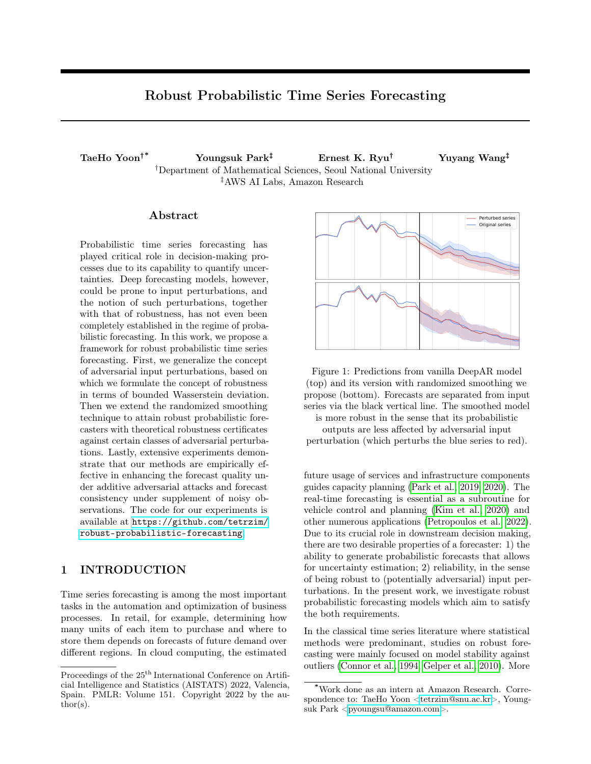# B EXPERIMENTAL DETAILS

We use the time series forecasting library GluonTS [\(Alexandrov et al., 2020\)](#page-9-13) to configure and train the vanilla and random-trained DeepAR models, and to perform randomized smoothing using them. For the experiments in Sections [5.1](#page-7-2) and [5.2,](#page-8-1) we use the standard prediction lengths  $\tau$  24 for the Electricity and Traffic datasets,  $\tau$  30 for the Exchange Rate dataset, and  $\tau$  14 for the M4-Daily dataset. The context lengths are set to  $4\tau$  for all cases, and all the other model hyperparameters are set to default values within the GluonTS implementation. The training of all baseline models (with or without data augmentation with random noises) uses batch size 128 and is run for 50 epochs. We use 100 sample paths from each baseline and smoothed model to perform adversarial attack and generate forecasts. The code for the experiments is available at <https://github.com/tetrzim/robust-probabilistic-forecasting>.

## C ADDITIONAL EXPERIMENT RESULTS

<span id="page-17-1"></span>

Figure 4:  $ND_H$  from DeepAR models on different datasets under adversarial attacks with respect to relative  $l_2$ norm. Smoothing of baseline models uses  $\sigma$  0.1 for the Electricity dataset and  $\sigma$  0.5 for other datasets. Randomized training uses  $\sigma_{tr}$  0.1.

<span id="page-17-0"></span>Table 1: Mean and standard deviation of ND on clean test set for *all* prediction indices over 10 runs.

|                             | Vanilla.            | Random-trained<br>$(\sigma_{tr}$ 0.1) |
|-----------------------------|---------------------|---------------------------------------|
| Exchange Rate $0.024$ 0.008 |                     | $0.018$ 0.001                         |
| Traffic                     | $0.131 \quad 0.006$ | $0.127$ 0.003                         |
| Electricity                 | $0.075$ 0.010       | $0.067$ 0.005                         |

Figure [4,](#page-17-1) together with Figure [2](#page-7-1) and Table [2,](#page-19-0) shows the prediction accuracy (measured in terms of ND on the attacked indices) of DeepAR models under the adversarial attack of [Dang-Nhu et al.](#page-9-3) [\(2020\)](#page-9-3) with respect to relative  $l_2$  norms. Table [3,](#page-8-0) together with Figure 3, shows the relative ND on overlapping indices under supplement of a noisy observation.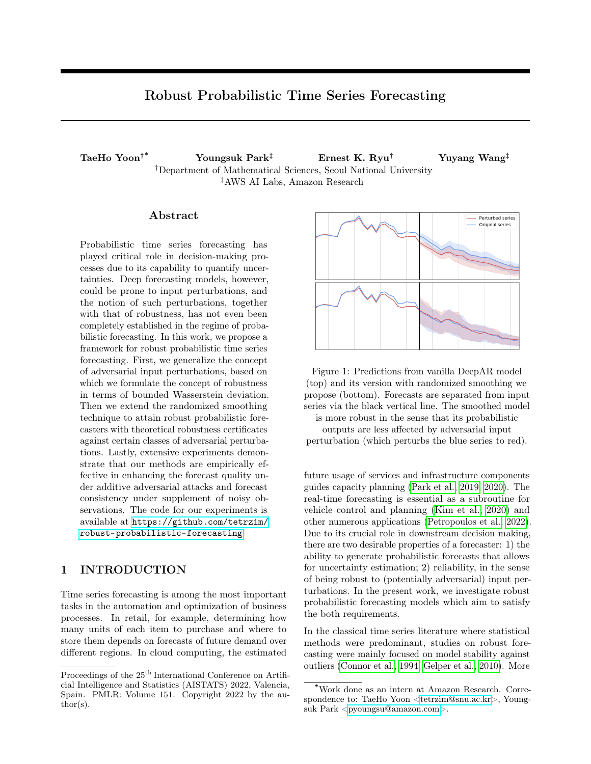Table [1](#page-17-0) compares ND on the test set without adversarial attack, measured over all prediction indices (that is,  $ND<sub>H</sub>$ [\(17\)](#page-7-0) with  $H$  **t**1, ...,  $\tau$ **u**). Each row indicates that random-trained (RT) models have attained better accuracy compared to the corresponding vanilla model. Because the training of DeepAR involves windowing over multiple time intervals, and we apply noise to every observation available in the training data, randomized training noises both input and output (label) values. It is well-known that randomization of training inputs is positively related to generalization [\(Sietsma and Dow, 1991;](#page-11-17) [Matsuoka, 1992;](#page-10-22) [Holmstrom and Koistinen, 1992;](#page-10-23) [Bishop, 1995\)](#page-9-20), as observed by [Zhang](#page-12-6) [\(2007\)](#page-12-6) in the context of time series forecasting. On the other hand, some recent results [\(Blanc](#page-9-21) [et al., 2020;](#page-9-21) [Damian et al., 2021\)](#page-9-22) provided theoretical study on the implicit bias of optimization algorithms with label noise towards well-generalizing minima. However, we are not aware of prior works that particularly studied the effect of training with label noising on forecasting accuracy.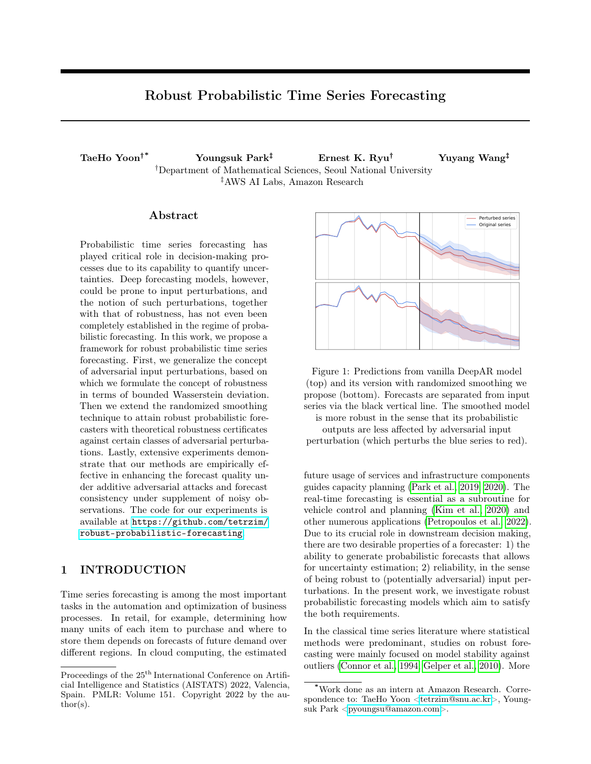<span id="page-19-0"></span>Table 2: Mean and standard deviation of  $ND_H$  from DeepAR models on different datasets under adversarial attacks, measured over 10 independent runs. The \* symbols for RS models indicate statistically significant improvement against the corresponding baselines according to the Wilcoxon signed-rank test.

| H         | $\eta$         | Vanilla |       |            | RS                   | RT                 |       |                    | $RT + RS$      |                      |
|-----------|----------------|---------|-------|------------|----------------------|--------------------|-------|--------------------|----------------|----------------------|
|           |                |         |       | ( $\sigma$ | 0.5)                 | $(\sigma_{\rm tr}$ | 0.1)  | $(\sigma_{\sf tr}$ | $0.1, \sigma$  | 0.5)                 |
|           | $\overline{0}$ | 0.008   | 0.002 | 0.015      | 0.003                | 0.013              | 0.002 |                    | 0.014<br>0.003 |                      |
|           | 0.2            | 0.068   | 0.013 | 0.057      | $0.010*$             | 0.019              | 0.002 |                    | 0.020          | 0.002                |
|           | 0.4            | 0.108   | 0.021 | 0.090      | $0.014*$             | 0.045              | 0.005 |                    | 0.043          | 0.006                |
| t1u       | 0.6            | 0.178   | 0.026 | 0.154      | $0.019*$             | 0.064              | 0.012 |                    | 0.063          | 0.008                |
|           | 0.8            | 0.231   | 0.031 | 0.210      | $0.031*$             | 0.100              | 0.014 |                    | 0.095          | 0.011                |
|           | 1.0            | 0.284   | 0.038 | 0.260      | $0.038*$             | 0.133              | 0.037 | 0.124              |                | $0.028*$             |
|           | 1.2            | 0.318   | 0.048 | 0.300      | $0.046*$             | 0.170              | 0.044 | 0.156              |                | $0.035*$             |
|           | 1.4            | 0.356   | 0.052 | 0.342      | $0.054$ <sup>*</sup> | 0.219              | 0.029 | 0.202              |                | $0.024$ <sup>*</sup> |
|           | $\theta$       | 0.036   | 0.014 | 0.043      | 0.017                | 0.022              | 0.002 |                    | 0.023          | 0.005                |
|           | 0.2            | 0.065   | 0.016 | 0.067      | 0.017                | 0.023              | 0.002 |                    | 0.023          | 0.007                |
|           | 0.4            | 0.111   | 0.035 | 0.099      | $0.029*$             | 0.025              | 0.002 |                    | 0.026          | 0.003                |
| $t\tau$ u | 0.6            | 0.164   | 0.054 | 0.142      | $0.044$ <sup>*</sup> | $\,0.035\,$        | 0.021 | 0.031              |                | 0.006                |
|           | 0.8            | 0.194   | 0.057 | 0.174      | $0.050*$             | 0.054              | 0.033 |                    | 0.049          | 0.020                |
|           | 1.0            | 0.210   | 0.060 | 0.192      | $0.057*$             | 0.117              | 0.058 | 0.099              |                | $0.042$ <sup>*</sup> |
|           | 1.2            | 0.230   | 0.059 | 0.216      | $0.057*$             | 0.173              | 0.066 | 0.149              |                | $0.052$ <sup>*</sup> |
|           | 1.4            | 0.243   | 0.062 | 0.230      | $0.060*$             | 0.215              | 0.038 | 0.191              |                | $0.034$ <sup>*</sup> |

(a) Exchange Rate

(b) M4-Daily

|           |          |         |       | $_{\rm RS}$ |                      | RT                  |       |                    | $RT + RS$             |
|-----------|----------|---------|-------|-------------|----------------------|---------------------|-------|--------------------|-----------------------|
| Н         | $\eta$   | Vanilla |       | $(\sigma$   | 0.5)                 | $(\sigma_{\rm tr})$ | 0.1)  | $(\sigma_{\sf tr}$ | $0.1, \sigma$<br>0.5) |
|           | $\theta$ | 0.018   | 0.002 | 0.026       | 0.001                | 0.027               | 0.001 | 0.028              | 0.002                 |
|           | 0.2      | 0.092   | 0.004 | 0.079       | $0.003*$             | 0.052               | 0.007 | 0.053              | 0.007                 |
|           | 0.4      | 0.167   | 0.021 | 0.145       | $0.018*$             | 0.070               | 0.012 | 0.072              | 0.011                 |
| t1u       | 0.6      | 0.254   | 0.024 | 0.226       | $0.021$ <sup>*</sup> | 0.119               | 0.011 | 0.124              | 0.011                 |
|           | 0.8      | 0.330   | 0.034 | 0.298       | $0.032*$             | 0.164               | 0.028 | 0.164              | 0.025                 |
|           | 1.0      | 0.398   | 0.041 | 0.369       | $0.038*$             | 0.247               | 0.037 | 0.236              | $0.030*$              |
|           | 1.2      | 0.449   | 0.027 | 0.423       | $0.027*$             | 0.312               | 0.041 | 0.297              | $0.034*$              |
|           | 1.4      | 0.471   | 0.017 | 0.447       | $0.015*$             | 0.408               | 0.034 | 0.383              | $0.033*$              |
|           | $\theta$ | 0.062   | 0.011 | 0.065       | 0.009                | 0.056               | 0.003 | 0.055              | 0.005                 |
|           | 0.2      | 0.114   | 0.019 | 0.103       | $0.016*$             | 0.062               | 0.003 | 0.061              | 0.006                 |
|           | 0.4      | 0.162   | 0.020 | 0.141       | $0.017*$             | 0.074               | 0.006 | 0.075              | 0.010                 |
| $t\tau$ u | 0.6      | 0.247   | 0.027 | 0.209       | $0.026*$             | 0.084               | 0.007 | 0.085              | 0.011                 |
|           | 0.8      | 0.321   | 0.044 | 0.275       | $0.041*$             | 0.135               | 0.058 | 0.130              | 0.052                 |
|           | 1.0      | 0.376   | 0.052 | 0.327       | $0.049*$             | 0.219               | 0.096 | 0.194              | $0.075*$              |
|           | 1.2      | 0.415   | 0.056 | 0.366       | $0.053*$             | 0.394               | 0.085 | 0.333              | $0.072$ <sup>*</sup>  |
|           | 1.4      | 0.442   | 0.045 | 0.392       | $0.042$ <sup>*</sup> | 0.493               | 0.025 | 0.415              | $0.040*$              |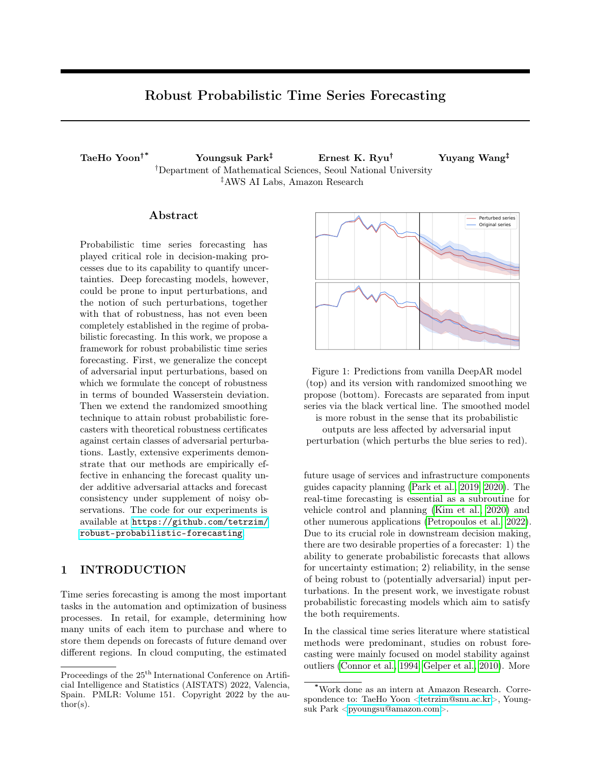Table 2: (Continued) Mean and standard deviation of  $ND_H$  from DeepAR models on different datasets under adversarial attacks, measured over 10 independent runs. The \* symbols for RS models indicate statistically significant improvement against the corresponding baselines according to the Wilcoxon signed-rank test.

| Н         |                |       | Vanilla |           | RS           | RT                 |       |                        | $RT + RS$             |
|-----------|----------------|-------|---------|-----------|--------------|--------------------|-------|------------------------|-----------------------|
|           | $\eta$         |       |         | $(\sigma$ | 0.5)         | $(\sigma_{\rm tr}$ | 0.1)  | ( $\sigma_{\text{tr}}$ | $0.1, \sigma$<br>0.5) |
|           | $\overline{0}$ | 0.146 | 0.002   | 0.196     | 0.004        | 0.149              | 0.003 | 0.186                  | 0.007                 |
|           | 0.2            | 0.220 | 0.003   | 0.240     | 0.005        | 0.190              | 0.003 | 0.216                  | 0.006                 |
|           | 0.4            | 0.342 | 0.005   | 0.321     | $0.004*$     | 0.265              | 0.005 | 0.278                  | 0.006                 |
| t1u       | 0.6            | 0.467 | 0.007   | 0.412     | $0.005*$     | 0.359              | 0.007 | 0.356                  | 0.013                 |
|           | 0.8            | 0.541 | 0.003   | 0.478     | $0.004*$     | 0.476              | 0.014 | 0.458                  | $0.024$ <sup>*</sup>  |
|           | 1.0            | 0.561 | 0.002   | 0.489     | $0.006*$     | 0.548              | 0.006 | 0.520                  | $0.013*$              |
|           | 1.2            | 0.568 | 0.002   | 0.491     | $0.007*$     | 0.570              | 0.003 | 0.530                  | $0.011*$              |
|           | 1.4            | 0.573 | 0.003   | 0.492     | $0.007*$     | 0.580              | 0.003 | 0.531                  | $0.011*$              |
|           | $\theta$       | 0.183 | 0.007   | 0.229     | 0.012        | 0.179              | 0.005 | 0.213                  | 0.014                 |
|           | 0.2            | 0.212 | 0.008   | 0.241     | 0.011        | 0.200              | 0.005 | 0.223                  | 0.014                 |
|           | 0.4            | 0.261 | 0.009   | 0.267     | 0.011        | 0.240              | 0.006 | 0.245                  | 0.014                 |
| $t\tau$ u | 0.6            | 0.309 | 0.011   | 0.296     | 0.011        | 0.279              | 0.007 | 0.272                  | 0.015                 |
|           | 0.8            | 0.367 | 0.011   | 0.340     | $0.013*$     | 0.324              | 0.008 | 0.307                  | $0.014*$              |
|           | 1.0            | 0.435 | 0.014   | 0.389     | $0.014*$     | 0.378              | 0.011 | 0.348                  | $0.015*$              |
|           | 1.2            | 0.507 | 0.015   | 0.450     | $0.015^\ast$ | 0.444              | 0.013 | 0.409                  | $0.016*$              |
|           | 1.4            | 0.561 | 0.014   | 0.491     | $0.015*$     | 0.505              | 0.015 | 0.464                  | $0.017*$              |

(c) Traffic

| H         | $\eta$   |       | Vanilla |           | $_{\rm RS}$ | RT                 |       |                     | $RT + RS$     |             |
|-----------|----------|-------|---------|-----------|-------------|--------------------|-------|---------------------|---------------|-------------|
|           |          |       |         | $(\sigma$ | 0.1)        | $(\sigma_{\rm tr}$ | 0.1)  | ( $\sigma_{\sf tr}$ | $0.1, \sigma$ | 0.1)        |
|           | $\theta$ | 0.071 | 0.003   | 0.066     | $0.003*$    | 0.069              | 0.009 | 0.065               |               | $0.008^{*}$ |
|           | 0.2      | 0.165 | 0.005   | 0.164     | 0.004       | 0.100              | 0.009 | 0.097               |               | 0.008       |
|           | 0.4      | 0.320 | 0.012   | 0.320     | 0.009       | 0.165              | 0.011 | 0.161               |               | $0.009*$    |
| t1u       | 0.6      | 0.472 | 0.013   | 0.474     | 0.011       | 0.239              | 0.011 | 0.241               |               | 0.011       |
|           | 0.8      | 0.535 | 0.009   | 0.538     | 0.011       | 0.316              | 0.019 | 0.318               |               | 0.017       |
|           | 1.0      | 0.555 | 0.013   | 0.558     | 0.009       | 0.402              | 0.019 | 0.403               |               | 0.019       |
|           | 1.2      | 0.560 | 0.011   | 0.559     | 0.011       | 0.477              | 0.017 | 0.478               |               | 0.017       |
|           | 1.4      | 0.559 | 0.014   | 0.561     | 0.011       | 0.520              | 0.015 | 0.521               |               | 0.015       |
|           | $\Omega$ | 0.093 | 0.018   | 0.093     | 0.016       | 0.086              | 0.013 | 0.086               |               | 0.014       |
|           | 0.2      | 0.137 | 0.021   | 0.136     | 0.021       | 0.112              | 0.014 | 0.112               |               | 0.014       |
|           | 0.4      | 0.196 | 0.023   | 0.195     | 0.024       | 0.158              | 0.015 | 0.157               |               | 0.015       |
| $t\tau$ u | 0.6      | 0.259 | 0.029   | 0.260     | 0.028       | 0.208              | 0.018 | 0.208               |               | 0.017       |
|           | 0.8      | 0.325 | 0.035   | 0.325     | 0.033       | 0.255              | 0.017 | 0.255               |               | 0.014       |
|           | 1.0      | 0.403 | 0.043   | 0.401     | 0.041       | 0.306              | 0.019 | 0.307               |               | 0.018       |
|           | 1.2      | 0.484 | 0.049   | 0.483     | 0.048       | 0.364              | 0.018 | 0.364               |               | 0.019       |
|           | 1.4      | 0.538 | 0.046   | 0.537     | 0.048       | 0.423              | 0.019 | 0.422               |               | 0.021       |

(d) Electricity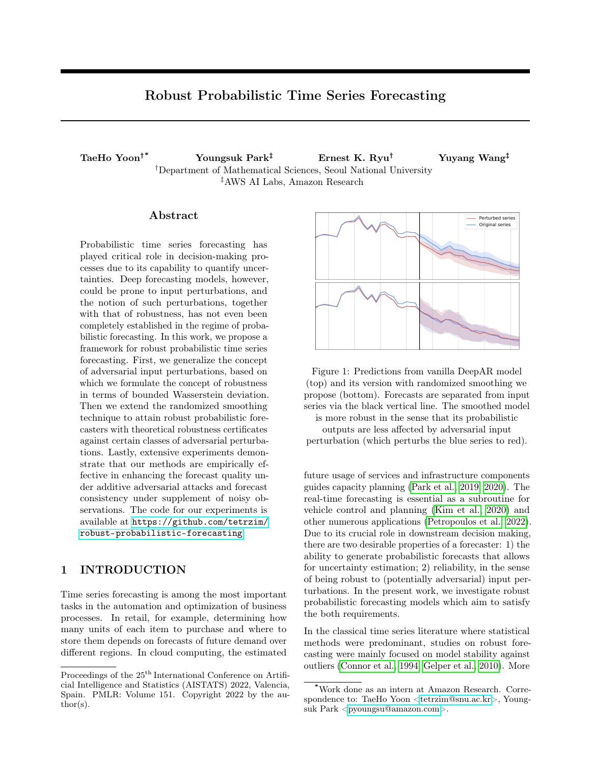<span id="page-21-0"></span>Table 3: Mean and standard deviation of relative ND from DeepAR models on different datasets under supplement of noisy observation with adversarial parameter  $\rho$ , measured over 10 independent runs. The \* symbols for FS models indicate statistically significant improvement against the corresponding baselines according to the Wilcoxon signed-rank test.

|                |       |         | FS         |                      |                    | RT    |                     | $RT + FS$              |
|----------------|-------|---------|------------|----------------------|--------------------|-------|---------------------|------------------------|
| $\rho$         |       | Vanilla | ( $\sigma$ | 1.0)                 | $(\sigma_{\rm tr}$ | 0.1)  | $(\sigma_{\rm tr})$ | $0.1, \sigma$<br>(1.0) |
| $-0.9$         | 0.160 | 0.003   | 0.093      | $0.005*$             | 0.034              | 0.003 | 0.033               | 0.005                  |
| $-0.5$         | 0.091 | 0.001   | 0.057      | $0.002*$             | 0.019              | 0.001 | 0.021               | 0.002                  |
| $\overline{0}$ | 0.003 | 0.000   | 0.024      | 0.000                | 0.012              | 0.000 | 0.014               | 0.000                  |
| 0.5            | 0.082 | 0.002   | 0.057      | $0.001*$             | 0.019              | 0.002 | 0.020               | 0.001                  |
| 1.0            | 0.150 | 0.007   | 0.101      | $0.005*$             | 0.036              | 0.007 | 0.034               | $0.005*$               |
| 2.0            | 0.238 | 0.019   | 0.178      | $0.012*$             | 0.073              | 0.019 | 0.063               | $0.012*$               |
| 4.0            | 0.315 | 0.030   | 0.263      | $0.019*$             | 0.125              | 0.030 | 0.109               | $0.019*$               |
| 9.0            | 0.391 | 0.034   | 0.347      | $0.024$ <sup>*</sup> | 0.190              | 0.034 | 0.178               | $0.024$ <sup>*</sup>   |

|  |  | (a) Exchange Rate |  |
|--|--|-------------------|--|
|--|--|-------------------|--|

(b) M4-Daily

|          |       |         |          | FS       | RT                 |       |                                      | $RT + FS$ |
|----------|-------|---------|----------|----------|--------------------|-------|--------------------------------------|-----------|
| $\rho$   |       | Vanilla | $\sigma$ | (1.0)    | $(\sigma_{\rm tr}$ | 0.1)  | 0.1, $\sigma$<br>$(\sigma_{\rm tr})$ | (1.0)     |
| $-0.9$   | 0.272 | 0.012   | 0.173    | $0.014*$ | 0.095              | 0.012 | 0.098                                | 0.014     |
| $-0.5$   | 0.157 | 0.002   | 0.099    | $0.007*$ | 0.047              | 0.002 | 0.052                                | 0.007     |
| $\theta$ | 0.007 | 0.000   | 0.037    | 0.002    | 0.013              | 0.000 | 0.021                                | 0.002     |
| 0.5      | 0.151 | 0.002   | 0.101    | $0.007*$ | 0.046              | 0.002 | 0.052                                | 0.007     |
| 1.0      | 0.269 | 0.008   | 0.185    | $0.015*$ | 0.097              | 0.008 | 0.099                                | 0.015     |
| 2.0      | 0.416 | 0.035   | 0.319    | $0.034*$ | 0.215              | 0.035 | 0.196                                | $0.034*$  |
| 4.0      | 0.558 | 0.073   | 0.483    | $0.066*$ | 0.405              | 0.073 | 0.363                                | $0.066*$  |
| 9.0      | 0.723 | 0.090   | 0.681    | $0.093*$ | 0.619              | 0.090 | 0.597                                | $0.093*$  |